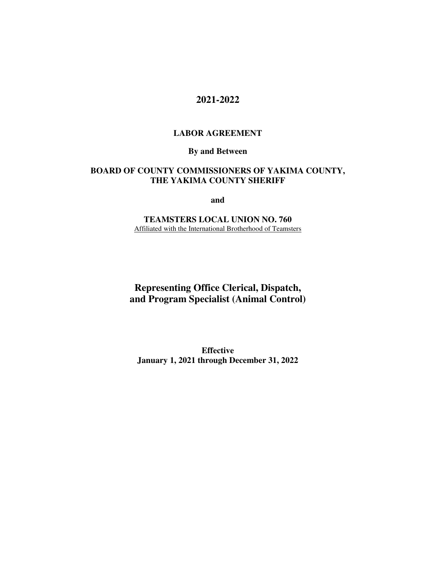# **2021-2022**

#### **LABOR AGREEMENT**

### **By and Between**

### **BOARD OF COUNTY COMMISSIONERS OF YAKIMA COUNTY, THE YAKIMA COUNTY SHERIFF**

**and** 

**TEAMSTERS LOCAL UNION NO. 760**  Affiliated with the International Brotherhood of Teamsters

**Representing Office Clerical, Dispatch, and Program Specialist (Animal Control)** 

**Effective January 1, 2021 through December 31, 2022**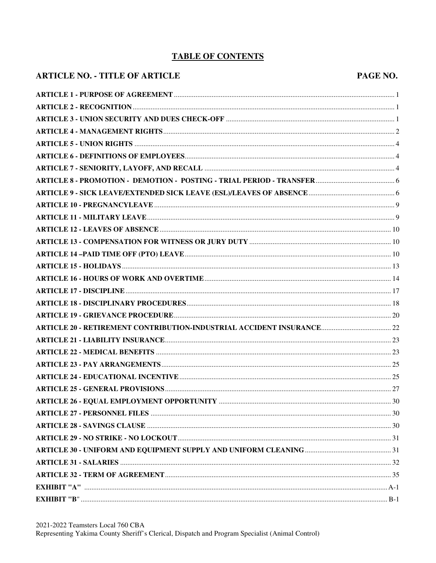## **TABLE OF CONTENTS**

#### **ARTICLE NO. - TITLE OF ARTICLE**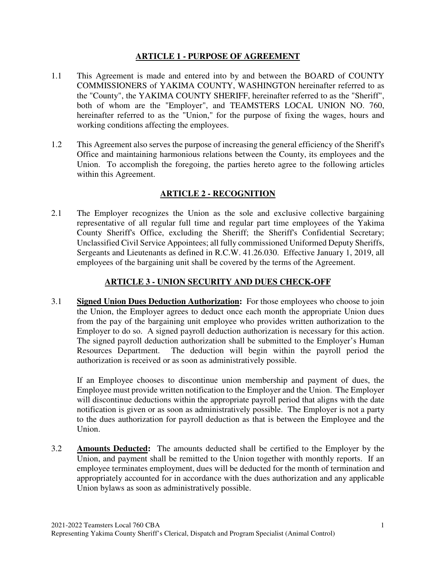### **ARTICLE 1 - PURPOSE OF AGREEMENT**

- 1.1 This Agreement is made and entered into by and between the BOARD of COUNTY COMMISSIONERS of YAKIMA COUNTY, WASHINGTON hereinafter referred to as the "County", the YAKIMA COUNTY SHERIFF, hereinafter referred to as the "Sheriff", both of whom are the "Employer", and TEAMSTERS LOCAL UNION NO. 760, hereinafter referred to as the "Union," for the purpose of fixing the wages, hours and working conditions affecting the employees.
- 1.2 This Agreement also serves the purpose of increasing the general efficiency of the Sheriff's Office and maintaining harmonious relations between the County, its employees and the Union. To accomplish the foregoing, the parties hereto agree to the following articles within this Agreement.

# **ARTICLE 2 - RECOGNITION**

2.1 The Employer recognizes the Union as the sole and exclusive collective bargaining representative of all regular full time and regular part time employees of the Yakima County Sheriff's Office, excluding the Sheriff; the Sheriff's Confidential Secretary; Unclassified Civil Service Appointees; all fully commissioned Uniformed Deputy Sheriffs, Sergeants and Lieutenants as defined in R.C.W. 41.26.030. Effective January 1, 2019, all employees of the bargaining unit shall be covered by the terms of the Agreement.

## **ARTICLE 3 - UNION SECURITY AND DUES CHECK-OFF**

3.1 **Signed Union Dues Deduction Authorization:** For those employees who choose to join the Union, the Employer agrees to deduct once each month the appropriate Union dues from the pay of the bargaining unit employee who provides written authorization to the Employer to do so. A signed payroll deduction authorization is necessary for this action. The signed payroll deduction authorization shall be submitted to the Employer's Human Resources Department. The deduction will begin within the payroll period the authorization is received or as soon as administratively possible.

If an Employee chooses to discontinue union membership and payment of dues, the Employee must provide written notification to the Employer and the Union. The Employer will discontinue deductions within the appropriate payroll period that aligns with the date notification is given or as soon as administratively possible. The Employer is not a party to the dues authorization for payroll deduction as that is between the Employee and the Union.

3.2 **Amounts Deducted:** The amounts deducted shall be certified to the Employer by the Union, and payment shall be remitted to the Union together with monthly reports. If an employee terminates employment, dues will be deducted for the month of termination and appropriately accounted for in accordance with the dues authorization and any applicable Union bylaws as soon as administratively possible.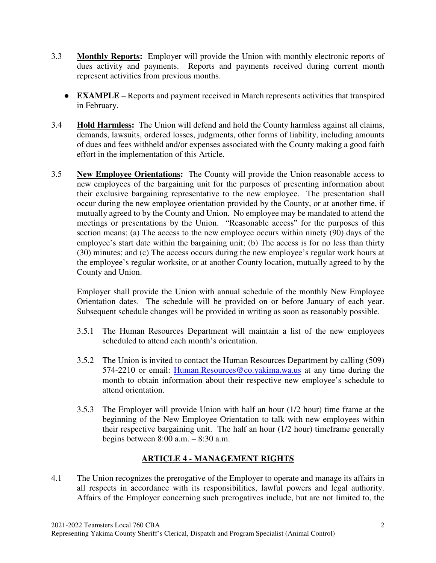- 3.3 **Monthly Reports:** Employer will provide the Union with monthly electronic reports of dues activity and payments. Reports and payments received during current month represent activities from previous months.
	- **EXAMPLE** Reports and payment received in March represents activities that transpired in February.
- 3.4 **Hold Harmless:** The Union will defend and hold the County harmless against all claims, demands, lawsuits, ordered losses, judgments, other forms of liability, including amounts of dues and fees withheld and/or expenses associated with the County making a good faith effort in the implementation of this Article.
- 3.5 **New Employee Orientations:** The County will provide the Union reasonable access to new employees of the bargaining unit for the purposes of presenting information about their exclusive bargaining representative to the new employee. The presentation shall occur during the new employee orientation provided by the County, or at another time, if mutually agreed to by the County and Union. No employee may be mandated to attend the meetings or presentations by the Union. "Reasonable access" for the purposes of this section means: (a) The access to the new employee occurs within ninety (90) days of the employee's start date within the bargaining unit; (b) The access is for no less than thirty (30) minutes; and (c) The access occurs during the new employee's regular work hours at the employee's regular worksite, or at another County location, mutually agreed to by the County and Union.

Employer shall provide the Union with annual schedule of the monthly New Employee Orientation dates. The schedule will be provided on or before January of each year. Subsequent schedule changes will be provided in writing as soon as reasonably possible.

- 3.5.1 The Human Resources Department will maintain a list of the new employees scheduled to attend each month's orientation.
- 3.5.2 The Union is invited to contact the Human Resources Department by calling (509) 574-2210 or email: Human.Resources@co.yakima.wa.us at any time during the month to obtain information about their respective new employee's schedule to attend orientation.
- 3.5.3 The Employer will provide Union with half an hour (1/2 hour) time frame at the beginning of the New Employee Orientation to talk with new employees within their respective bargaining unit. The half an hour (1/2 hour) timeframe generally begins between 8:00 a.m. – 8:30 a.m.

## **ARTICLE 4 - MANAGEMENT RIGHTS**

4.1 The Union recognizes the prerogative of the Employer to operate and manage its affairs in all respects in accordance with its responsibilities, lawful powers and legal authority. Affairs of the Employer concerning such prerogatives include, but are not limited to, the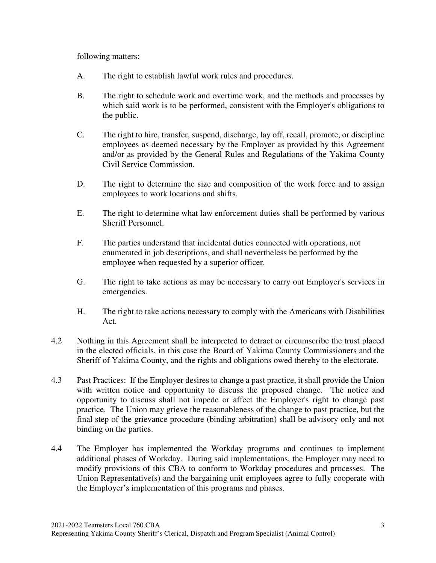following matters:

- A. The right to establish lawful work rules and procedures.
- B. The right to schedule work and overtime work, and the methods and processes by which said work is to be performed, consistent with the Employer's obligations to the public.
- C. The right to hire, transfer, suspend, discharge, lay off, recall, promote, or discipline employees as deemed necessary by the Employer as provided by this Agreement and/or as provided by the General Rules and Regulations of the Yakima County Civil Service Commission.
- D. The right to determine the size and composition of the work force and to assign employees to work locations and shifts.
- E. The right to determine what law enforcement duties shall be performed by various Sheriff Personnel.
- F. The parties understand that incidental duties connected with operations, not enumerated in job descriptions, and shall nevertheless be performed by the employee when requested by a superior officer.
- G. The right to take actions as may be necessary to carry out Employer's services in emergencies.
- H. The right to take actions necessary to comply with the Americans with Disabilities Act.
- 4.2 Nothing in this Agreement shall be interpreted to detract or circumscribe the trust placed in the elected officials, in this case the Board of Yakima County Commissioners and the Sheriff of Yakima County, and the rights and obligations owed thereby to the electorate.
- 4.3 Past Practices: If the Employer desires to change a past practice, it shall provide the Union with written notice and opportunity to discuss the proposed change. The notice and opportunity to discuss shall not impede or affect the Employer's right to change past practice. The Union may grieve the reasonableness of the change to past practice, but the final step of the grievance procedure (binding arbitration) shall be advisory only and not binding on the parties.
- 4.4 The Employer has implemented the Workday programs and continues to implement additional phases of Workday. During said implementations, the Employer may need to modify provisions of this CBA to conform to Workday procedures and processes. The Union Representative(s) and the bargaining unit employees agree to fully cooperate with the Employer's implementation of this programs and phases.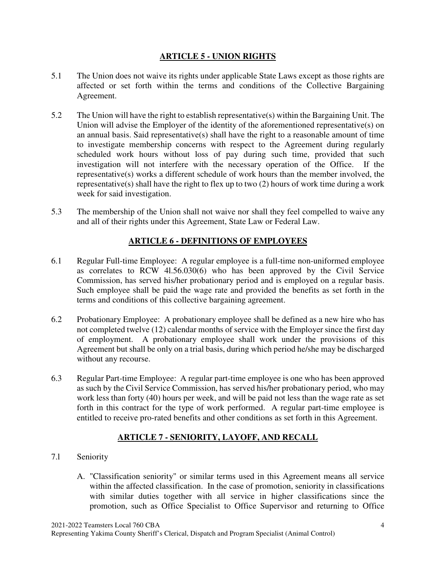## **ARTICLE 5 - UNION RIGHTS**

- 5.1 The Union does not waive its rights under applicable State Laws except as those rights are affected or set forth within the terms and conditions of the Collective Bargaining Agreement.
- 5.2 The Union will have the right to establish representative(s) within the Bargaining Unit. The Union will advise the Employer of the identity of the aforementioned representative(s) on an annual basis. Said representative(s) shall have the right to a reasonable amount of time to investigate membership concerns with respect to the Agreement during regularly scheduled work hours without loss of pay during such time, provided that such investigation will not interfere with the necessary operation of the Office. If the representative(s) works a different schedule of work hours than the member involved, the representative(s) shall have the right to flex up to two (2) hours of work time during a work week for said investigation.
- 5.3 The membership of the Union shall not waive nor shall they feel compelled to waive any and all of their rights under this Agreement, State Law or Federal Law.

## **ARTICLE 6 - DEFINITIONS OF EMPLOYEES**

- 6.1 Regular Full-time Employee: A regular employee is a full-time non-uniformed employee as correlates to RCW 4l.56.030(6) who has been approved by the Civil Service Commission, has served his/her probationary period and is employed on a regular basis. Such employee shall be paid the wage rate and provided the benefits as set forth in the terms and conditions of this collective bargaining agreement.
- 6.2 Probationary Employee: A probationary employee shall be defined as a new hire who has not completed twelve (12) calendar months of service with the Employer since the first day of employment. A probationary employee shall work under the provisions of this Agreement but shall be only on a trial basis, during which period he/she may be discharged without any recourse.
- 6.3 Regular Part-time Employee: A regular part-time employee is one who has been approved as such by the Civil Service Commission, has served his/her probationary period, who may work less than forty (40) hours per week, and will be paid not less than the wage rate as set forth in this contract for the type of work performed. A regular part-time employee is entitled to receive pro-rated benefits and other conditions as set forth in this Agreement.

# **ARTICLE 7 - SENIORITY, LAYOFF, AND RECALL**

- 7.l Seniority
	- A. "Classification seniority" or similar terms used in this Agreement means all service within the affected classification. In the case of promotion, seniority in classifications with similar duties together with all service in higher classifications since the promotion, such as Office Specialist to Office Supervisor and returning to Office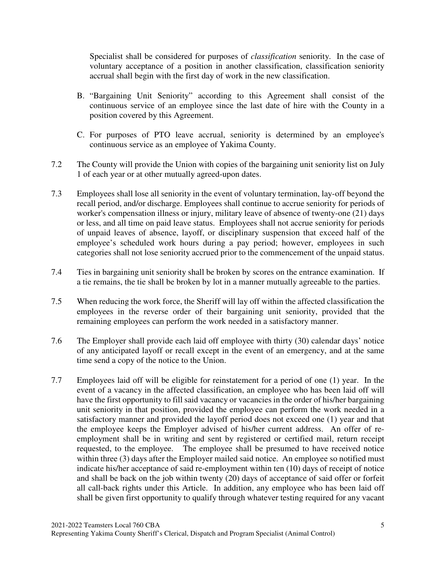Specialist shall be considered for purposes of *classification* seniority. In the case of voluntary acceptance of a position in another classification, classification seniority accrual shall begin with the first day of work in the new classification.

- B. "Bargaining Unit Seniority" according to this Agreement shall consist of the continuous service of an employee since the last date of hire with the County in a position covered by this Agreement.
- C. For purposes of PTO leave accrual, seniority is determined by an employee's continuous service as an employee of Yakima County.
- 7.2 The County will provide the Union with copies of the bargaining unit seniority list on July 1 of each year or at other mutually agreed-upon dates.
- 7.3 Employees shall lose all seniority in the event of voluntary termination, lay-off beyond the recall period, and/or discharge. Employees shall continue to accrue seniority for periods of worker's compensation illness or injury, military leave of absence of twenty-one (21) days or less, and all time on paid leave status. Employees shall not accrue seniority for periods of unpaid leaves of absence, layoff, or disciplinary suspension that exceed half of the employee's scheduled work hours during a pay period; however, employees in such categories shall not lose seniority accrued prior to the commencement of the unpaid status.
- 7.4 Ties in bargaining unit seniority shall be broken by scores on the entrance examination. If a tie remains, the tie shall be broken by lot in a manner mutually agreeable to the parties.
- 7.5 When reducing the work force, the Sheriff will lay off within the affected classification the employees in the reverse order of their bargaining unit seniority, provided that the remaining employees can perform the work needed in a satisfactory manner.
- 7.6 The Employer shall provide each laid off employee with thirty (30) calendar days' notice of any anticipated layoff or recall except in the event of an emergency, and at the same time send a copy of the notice to the Union.
- 7.7 Employees laid off will be eligible for reinstatement for a period of one (1) year. In the event of a vacancy in the affected classification, an employee who has been laid off will have the first opportunity to fill said vacancy or vacancies in the order of his/her bargaining unit seniority in that position, provided the employee can perform the work needed in a satisfactory manner and provided the layoff period does not exceed one (1) year and that the employee keeps the Employer advised of his/her current address. An offer of reemployment shall be in writing and sent by registered or certified mail, return receipt requested, to the employee. The employee shall be presumed to have received notice within three (3) days after the Employer mailed said notice. An employee so notified must indicate his/her acceptance of said re-employment within ten (10) days of receipt of notice and shall be back on the job within twenty (20) days of acceptance of said offer or forfeit all call-back rights under this Article. In addition, any employee who has been laid off shall be given first opportunity to qualify through whatever testing required for any vacant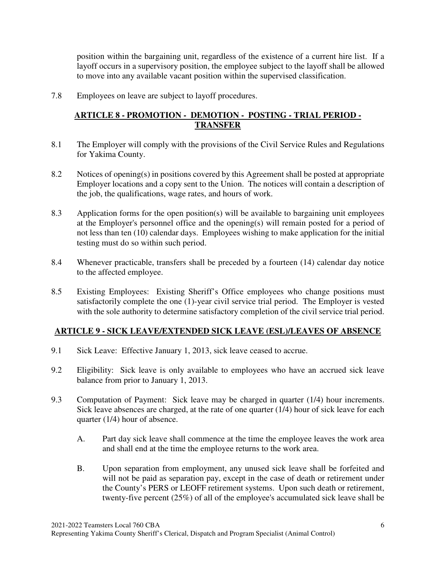position within the bargaining unit, regardless of the existence of a current hire list. If a layoff occurs in a supervisory position, the employee subject to the layoff shall be allowed to move into any available vacant position within the supervised classification.

7.8 Employees on leave are subject to layoff procedures.

## **ARTICLE 8 - PROMOTION - DEMOTION - POSTING - TRIAL PERIOD - TRANSFER**

- 8.1 The Employer will comply with the provisions of the Civil Service Rules and Regulations for Yakima County.
- 8.2 Notices of opening(s) in positions covered by this Agreement shall be posted at appropriate Employer locations and a copy sent to the Union. The notices will contain a description of the job, the qualifications, wage rates, and hours of work.
- 8.3 Application forms for the open position(s) will be available to bargaining unit employees at the Employer's personnel office and the opening(s) will remain posted for a period of not less than ten (10) calendar days. Employees wishing to make application for the initial testing must do so within such period.
- 8.4 Whenever practicable, transfers shall be preceded by a fourteen (14) calendar day notice to the affected employee.
- 8.5 Existing Employees: Existing Sheriff's Office employees who change positions must satisfactorily complete the one (1)-year civil service trial period. The Employer is vested with the sole authority to determine satisfactory completion of the civil service trial period.

## **ARTICLE 9 - SICK LEAVE/EXTENDED SICK LEAVE (ESL)/LEAVES OF ABSENCE**

- 9.1 Sick Leave: Effective January 1, 2013, sick leave ceased to accrue.
- 9.2 Eligibility: Sick leave is only available to employees who have an accrued sick leave balance from prior to January 1, 2013.
- 9.3 Computation of Payment: Sick leave may be charged in quarter (1/4) hour increments. Sick leave absences are charged, at the rate of one quarter (1/4) hour of sick leave for each quarter (1/4) hour of absence.
	- A. Part day sick leave shall commence at the time the employee leaves the work area and shall end at the time the employee returns to the work area.
	- B. Upon separation from employment, any unused sick leave shall be forfeited and will not be paid as separation pay, except in the case of death or retirement under the County's PERS or LEOFF retirement systems. Upon such death or retirement, twenty-five percent (25%) of all of the employee's accumulated sick leave shall be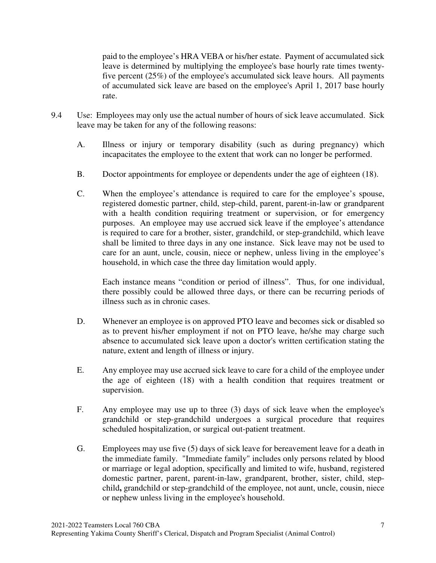paid to the employee's HRA VEBA or his/her estate. Payment of accumulated sick leave is determined by multiplying the employee's base hourly rate times twentyfive percent (25%) of the employee's accumulated sick leave hours. All payments of accumulated sick leave are based on the employee's April 1, 2017 base hourly rate.

- 9.4 Use: Employees may only use the actual number of hours of sick leave accumulated. Sick leave may be taken for any of the following reasons:
	- A. Illness or injury or temporary disability (such as during pregnancy) which incapacitates the employee to the extent that work can no longer be performed.
	- B. Doctor appointments for employee or dependents under the age of eighteen (18).
	- C. When the employee's attendance is required to care for the employee's spouse, registered domestic partner, child, step-child, parent, parent-in-law or grandparent with a health condition requiring treatment or supervision, or for emergency purposes. An employee may use accrued sick leave if the employee's attendance is required to care for a brother, sister, grandchild, or step-grandchild, which leave shall be limited to three days in any one instance. Sick leave may not be used to care for an aunt, uncle, cousin, niece or nephew, unless living in the employee's household, in which case the three day limitation would apply.

Each instance means "condition or period of illness". Thus, for one individual, there possibly could be allowed three days, or there can be recurring periods of illness such as in chronic cases.

- D. Whenever an employee is on approved PTO leave and becomes sick or disabled so as to prevent his/her employment if not on PTO leave, he/she may charge such absence to accumulated sick leave upon a doctor's written certification stating the nature, extent and length of illness or injury.
- E. Any employee may use accrued sick leave to care for a child of the employee under the age of eighteen (18) with a health condition that requires treatment or supervision.
- F. Any employee may use up to three (3) days of sick leave when the employee's grandchild or step-grandchild undergoes a surgical procedure that requires scheduled hospitalization, or surgical out-patient treatment.
- G. Employees may use five (5) days of sick leave for bereavement leave for a death in the immediate family. "Immediate family" includes only persons related by blood or marriage or legal adoption, specifically and limited to wife, husband, registered domestic partner, parent, parent-in-law, grandparent, brother, sister, child, stepchild**,** grandchild or step-grandchild of the employee, not aunt, uncle, cousin, niece or nephew unless living in the employee's household.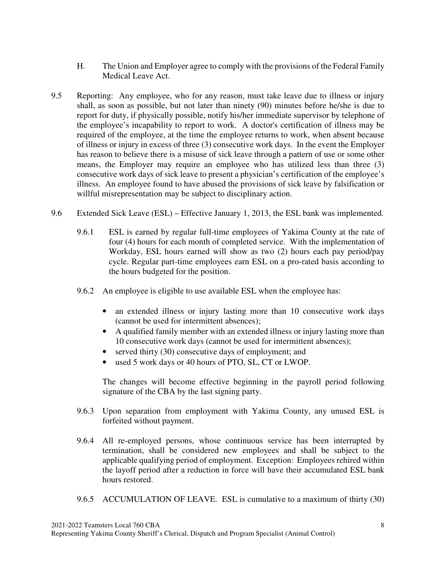- H. The Union and Employer agree to comply with the provisions of the Federal Family Medical Leave Act.
- 9.5 Reporting: Any employee, who for any reason, must take leave due to illness or injury shall, as soon as possible, but not later than ninety (90) minutes before he/she is due to report for duty, if physically possible, notify his/her immediate supervisor by telephone of the employee's incapability to report to work. A doctor's certification of illness may be required of the employee, at the time the employee returns to work, when absent because of illness or injury in excess of three (3) consecutive work days. In the event the Employer has reason to believe there is a misuse of sick leave through a pattern of use or some other means, the Employer may require an employee who has utilized less than three (3) consecutive work days of sick leave to present a physician's certification of the employee's illness. An employee found to have abused the provisions of sick leave by falsification or willful misrepresentation may be subject to disciplinary action.
- 9.6 Extended Sick Leave (ESL) Effective January 1, 2013, the ESL bank was implemented.
	- 9.6.1 ESL is earned by regular full-time employees of Yakima County at the rate of four (4) hours for each month of completed service. With the implementation of Workday, ESL hours earned will show as two (2) hours each pay period/pay cycle. Regular part-time employees earn ESL on a pro-rated basis according to the hours budgeted for the position.
	- 9.6.2 An employee is eligible to use available ESL when the employee has:
		- an extended illness or injury lasting more than 10 consecutive work days (cannot be used for intermittent absences);
		- A qualified family member with an extended illness or injury lasting more than 10 consecutive work days (cannot be used for intermittent absences);
		- served thirty (30) consecutive days of employment; and
		- used 5 work days or 40 hours of PTO, SL, CT or LWOP.

The changes will become effective beginning in the payroll period following signature of the CBA by the last signing party.

- 9.6.3 Upon separation from employment with Yakima County, any unused ESL is forfeited without payment.
- 9.6.4 All re-employed persons, whose continuous service has been interrupted by termination, shall be considered new employees and shall be subject to the applicable qualifying period of employment. Exception: Employees rehired within the layoff period after a reduction in force will have their accumulated ESL bank hours restored.
- 9.6.5 ACCUMULATION OF LEAVE. ESL is cumulative to a maximum of thirty (30)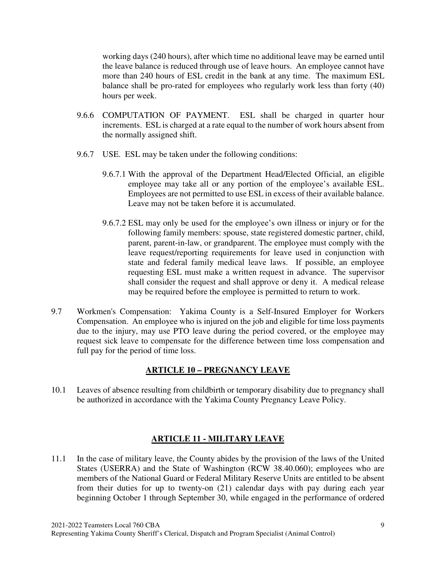working days (240 hours), after which time no additional leave may be earned until the leave balance is reduced through use of leave hours. An employee cannot have more than 240 hours of ESL credit in the bank at any time. The maximum ESL balance shall be pro-rated for employees who regularly work less than forty (40) hours per week.

- 9.6.6 COMPUTATION OF PAYMENT. ESL shall be charged in quarter hour increments. ESL is charged at a rate equal to the number of work hours absent from the normally assigned shift.
- 9.6.7 USE. ESL may be taken under the following conditions:
	- 9.6.7.1 With the approval of the Department Head/Elected Official, an eligible employee may take all or any portion of the employee's available ESL. Employees are not permitted to use ESL in excess of their available balance. Leave may not be taken before it is accumulated.
	- 9.6.7.2 ESL may only be used for the employee's own illness or injury or for the following family members: spouse, state registered domestic partner, child, parent, parent-in-law, or grandparent. The employee must comply with the leave request/reporting requirements for leave used in conjunction with state and federal family medical leave laws. If possible, an employee requesting ESL must make a written request in advance. The supervisor shall consider the request and shall approve or deny it. A medical release may be required before the employee is permitted to return to work.
- 9.7 Workmen's Compensation: Yakima County is a Self-Insured Employer for Workers Compensation. An employee who is injured on the job and eligible for time loss payments due to the injury, may use PTO leave during the period covered, or the employee may request sick leave to compensate for the difference between time loss compensation and full pay for the period of time loss.

## **ARTICLE 10 – PREGNANCY LEAVE**

10.1 Leaves of absence resulting from childbirth or temporary disability due to pregnancy shall be authorized in accordance with the Yakima County Pregnancy Leave Policy.

## **ARTICLE 11 - MILITARY LEAVE**

11.1 In the case of military leave, the County abides by the provision of the laws of the United States (USERRA) and the State of Washington (RCW 38.40.060); employees who are members of the National Guard or Federal Military Reserve Units are entitled to be absent from their duties for up to twenty-on (21) calendar days with pay during each year beginning October 1 through September 30, while engaged in the performance of ordered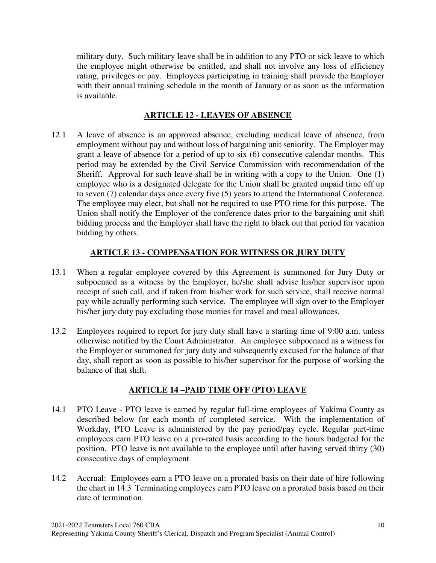military duty. Such military leave shall be in addition to any PTO or sick leave to which the employee might otherwise be entitled, and shall not involve any loss of efficiency rating, privileges or pay. Employees participating in training shall provide the Employer with their annual training schedule in the month of January or as soon as the information is available.

#### **ARTICLE 12 - LEAVES OF ABSENCE**

12.1 A leave of absence is an approved absence, excluding medical leave of absence, from employment without pay and without loss of bargaining unit seniority. The Employer may grant a leave of absence for a period of up to six (6) consecutive calendar months. This period may be extended by the Civil Service Commission with recommendation of the Sheriff. Approval for such leave shall be in writing with a copy to the Union. One (1) employee who is a designated delegate for the Union shall be granted unpaid time off up to seven (7) calendar days once every five (5) years to attend the International Conference. The employee may elect, but shall not be required to use PTO time for this purpose. The Union shall notify the Employer of the conference dates prior to the bargaining unit shift bidding process and the Employer shall have the right to black out that period for vacation bidding by others.

## **ARTICLE 13 - COMPENSATION FOR WITNESS OR JURY DUTY**

- 13.1 When a regular employee covered by this Agreement is summoned for Jury Duty or subpoenaed as a witness by the Employer, he/she shall advise his/her supervisor upon receipt of such call, and if taken from his/her work for such service, shall receive normal pay while actually performing such service. The employee will sign over to the Employer his/her jury duty pay excluding those monies for travel and meal allowances.
- 13.2 Employees required to report for jury duty shall have a starting time of 9:00 a.m. unless otherwise notified by the Court Administrator. An employee subpoenaed as a witness for the Employer or summoned for jury duty and subsequently excused for the balance of that day, shall report as soon as possible to his/her supervisor for the purpose of working the balance of that shift.

## **ARTICLE 14 –PAID TIME OFF (PTO) LEAVE**

- 14.1 PTO Leave PTO leave is earned by regular full-time employees of Yakima County as described below for each month of completed service. With the implementation of Workday, PTO Leave is administered by the pay period/pay cycle. Regular part-time employees earn PTO leave on a pro-rated basis according to the hours budgeted for the position. PTO leave is not available to the employee until after having served thirty (30) consecutive days of employment.
- 14.2 Accrual: Employees earn a PTO leave on a prorated basis on their date of hire following the chart in 14.3 Terminating employees earn PTO leave on a prorated basis based on their date of termination.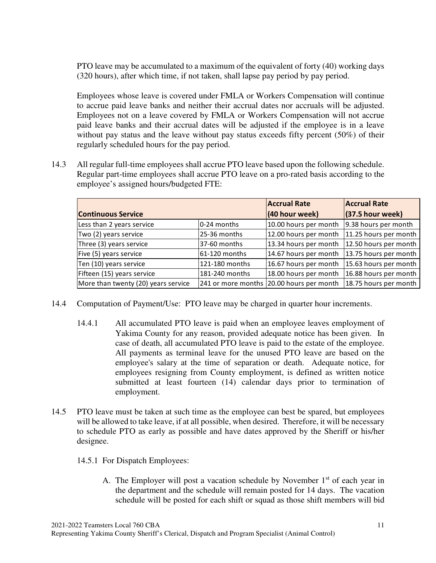PTO leave may be accumulated to a maximum of the equivalent of forty (40) working days (320 hours), after which time, if not taken, shall lapse pay period by pay period.

Employees whose leave is covered under FMLA or Workers Compensation will continue to accrue paid leave banks and neither their accrual dates nor accruals will be adjusted. Employees not on a leave covered by FMLA or Workers Compensation will not accrue paid leave banks and their accrual dates will be adjusted if the employee is in a leave without pay status and the leave without pay status exceeds fifty percent  $(50\%)$  of their regularly scheduled hours for the pay period.

14.3 All regular full-time employees shall accrue PTO leave based upon the following schedule. Regular part-time employees shall accrue PTO leave on a pro-rated basis according to the employee's assigned hours/budgeted FTE:

|                                     | <b>Accrual Rate</b> | <b>Accrual Rate</b>                      |                       |
|-------------------------------------|---------------------|------------------------------------------|-----------------------|
| <b>Continuous Service</b>           | (40 hour week)      | (37.5 hour week)                         |                       |
| Less than 2 years service           | 0-24 months         | 10.00 hours per month                    | 9.38 hours per month  |
| Two (2) years service               | 25-36 months        | 12.00 hours per month                    | 11.25 hours per month |
| Three (3) years service             | 37-60 months        | 13.34 hours per month                    | 12.50 hours per month |
| Five (5) years service              | 61-120 months       | 14.67 hours per month                    | 13.75 hours per month |
| Ten (10) years service              | 121-180 months      | 16.67 hours per month                    | 15.63 hours per month |
| Fifteen (15) years service          | 181-240 months      | 18.00 hours per month                    | 16.88 hours per month |
| More than twenty (20) years service |                     | 241 or more months 20.00 hours per month | 18.75 hours per month |

- 14.4 Computation of Payment/Use: PTO leave may be charged in quarter hour increments.
	- 14.4.1 All accumulated PTO leave is paid when an employee leaves employment of Yakima County for any reason, provided adequate notice has been given. In case of death, all accumulated PTO leave is paid to the estate of the employee. All payments as terminal leave for the unused PTO leave are based on the employee's salary at the time of separation or death. Adequate notice, for employees resigning from County employment, is defined as written notice submitted at least fourteen (14) calendar days prior to termination of employment.
- 14.5 PTO leave must be taken at such time as the employee can best be spared, but employees will be allowed to take leave, if at all possible, when desired. Therefore, it will be necessary to schedule PTO as early as possible and have dates approved by the Sheriff or his/her designee.
	- 14.5.1 For Dispatch Employees:
		- A. The Employer will post a vacation schedule by November  $1<sup>st</sup>$  of each year in the department and the schedule will remain posted for 14 days. The vacation schedule will be posted for each shift or squad as those shift members will bid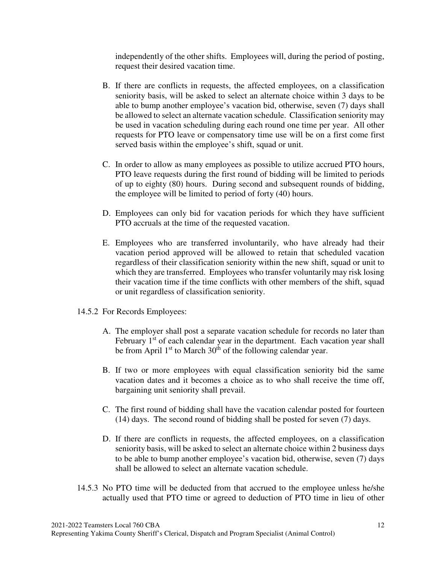independently of the other shifts. Employees will, during the period of posting, request their desired vacation time.

- B. If there are conflicts in requests, the affected employees, on a classification seniority basis, will be asked to select an alternate choice within 3 days to be able to bump another employee's vacation bid, otherwise, seven (7) days shall be allowed to select an alternate vacation schedule. Classification seniority may be used in vacation scheduling during each round one time per year. All other requests for PTO leave or compensatory time use will be on a first come first served basis within the employee's shift, squad or unit.
- C. In order to allow as many employees as possible to utilize accrued PTO hours, PTO leave requests during the first round of bidding will be limited to periods of up to eighty (80) hours. During second and subsequent rounds of bidding, the employee will be limited to period of forty (40) hours.
- D. Employees can only bid for vacation periods for which they have sufficient PTO accruals at the time of the requested vacation.
- E. Employees who are transferred involuntarily, who have already had their vacation period approved will be allowed to retain that scheduled vacation regardless of their classification seniority within the new shift, squad or unit to which they are transferred. Employees who transfer voluntarily may risk losing their vacation time if the time conflicts with other members of the shift, squad or unit regardless of classification seniority.
- 14.5.2 For Records Employees:
	- A. The employer shall post a separate vacation schedule for records no later than February 1<sup>st</sup> of each calendar year in the department. Each vacation year shall be from April  $1<sup>st</sup>$  to March  $30<sup>th</sup>$  of the following calendar year.
	- B. If two or more employees with equal classification seniority bid the same vacation dates and it becomes a choice as to who shall receive the time off, bargaining unit seniority shall prevail.
	- C. The first round of bidding shall have the vacation calendar posted for fourteen (14) days. The second round of bidding shall be posted for seven (7) days.
	- D. If there are conflicts in requests, the affected employees, on a classification seniority basis, will be asked to select an alternate choice within 2 business days to be able to bump another employee's vacation bid, otherwise, seven (7) days shall be allowed to select an alternate vacation schedule.
- 14.5.3 No PTO time will be deducted from that accrued to the employee unless he/she actually used that PTO time or agreed to deduction of PTO time in lieu of other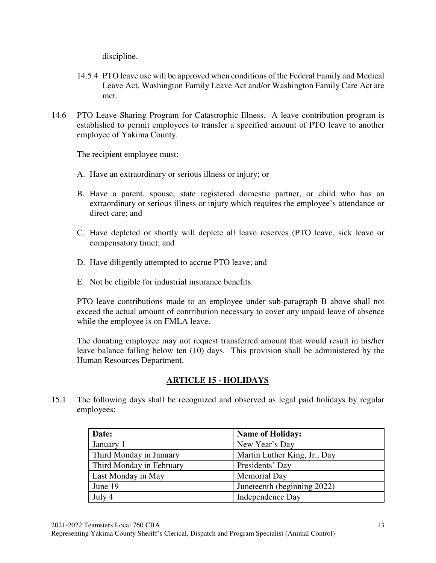discipline.

- 14.5.4 PTO leave use will be approved when conditions of the Federal Family and Medical Leave Act, Washington Family Leave Act and/or Washington Family Care Act are met.
- 14.6 PTO Leave Sharing Program for Catastrophic Illness. A leave contribution program is established to permit employees to transfer a specified amount of PTO leave to another employee of Yakima County.

The recipient employee must:

- A. Have an extraordinary or serious illness or injury; or
- B. Have a parent, spouse, state registered domestic partner, or child who has an extraordinary or serious illness or injury which requires the employee's attendance or direct care; and
- C. Have depleted or shortly will deplete all leave reserves (PTO leave, sick leave or compensatory time); and
- D. Have diligently attempted to accrue PTO leave; and
- E. Not be eligible for industrial insurance benefits.

PTO leave contributions made to an employee under sub-paragraph B above shall not exceed the actual amount of contribution necessary to cover any unpaid leave of absence while the employee is on FMLA leave.

The donating employee may not request transferred amount that would result in his/her leave balance falling below ten (10) days. This provision shall be administered by the Human Resources Department.

## **ARTICLE 15 - HOLIDAYS**

15.1 The following days shall be recognized and observed as legal paid holidays by regular employees:

| Date:                    | <b>Name of Holiday:</b>      |
|--------------------------|------------------------------|
| January 1                | New Year's Day               |
| Third Monday in January  | Martin Luther King, Jr., Day |
| Third Monday in February | Presidents' Day              |
| Last Monday in May       | Memorial Day                 |
| June 19                  | Juneteenth (beginning 2022)  |
| July 4                   | Independence Day             |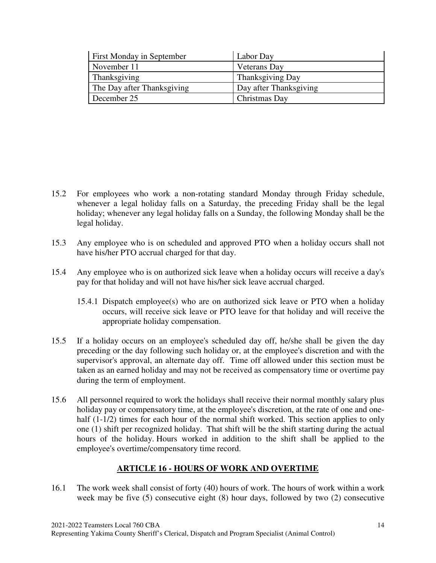| <b>First Monday in September</b> | Labor Day               |
|----------------------------------|-------------------------|
| November 11                      | <b>Veterans</b> Day     |
| Thanksgiving                     | <b>Thanksgiving Day</b> |
| The Day after Thanksgiving       | Day after Thanksgiving  |
| December 25                      | Christmas Day           |

- 15.2 For employees who work a non-rotating standard Monday through Friday schedule, whenever a legal holiday falls on a Saturday, the preceding Friday shall be the legal holiday; whenever any legal holiday falls on a Sunday, the following Monday shall be the legal holiday.
- 15.3 Any employee who is on scheduled and approved PTO when a holiday occurs shall not have his/her PTO accrual charged for that day.
- 15.4 Any employee who is on authorized sick leave when a holiday occurs will receive a day's pay for that holiday and will not have his/her sick leave accrual charged.
	- 15.4.1 Dispatch employee(s) who are on authorized sick leave or PTO when a holiday occurs, will receive sick leave or PTO leave for that holiday and will receive the appropriate holiday compensation.
- 15.5 If a holiday occurs on an employee's scheduled day off, he/she shall be given the day preceding or the day following such holiday or, at the employee's discretion and with the supervisor's approval, an alternate day off. Time off allowed under this section must be taken as an earned holiday and may not be received as compensatory time or overtime pay during the term of employment.
- 15.6 All personnel required to work the holidays shall receive their normal monthly salary plus holiday pay or compensatory time, at the employee's discretion, at the rate of one and onehalf (1-1/2) times for each hour of the normal shift worked. This section applies to only one (1) shift per recognized holiday. That shift will be the shift starting during the actual hours of the holiday. Hours worked in addition to the shift shall be applied to the employee's overtime/compensatory time record.

## **ARTICLE 16 - HOURS OF WORK AND OVERTIME**

16.1 The work week shall consist of forty (40) hours of work. The hours of work within a work week may be five (5) consecutive eight (8) hour days, followed by two (2) consecutive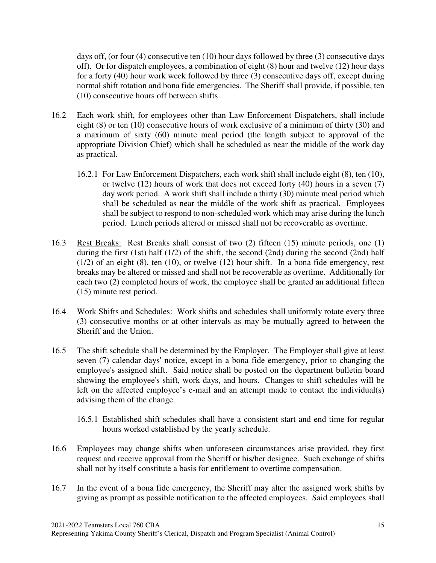days off, (or four (4) consecutive ten (10) hour days followed by three (3) consecutive days off). Or for dispatch employees, a combination of eight (8) hour and twelve (12) hour days for a forty (40) hour work week followed by three (3) consecutive days off, except during normal shift rotation and bona fide emergencies. The Sheriff shall provide, if possible, ten (10) consecutive hours off between shifts.

- 16.2 Each work shift, for employees other than Law Enforcement Dispatchers, shall include eight (8) or ten (10) consecutive hours of work exclusive of a minimum of thirty (30) and a maximum of sixty (60) minute meal period (the length subject to approval of the appropriate Division Chief) which shall be scheduled as near the middle of the work day as practical.
	- 16.2.1 For Law Enforcement Dispatchers, each work shift shall include eight (8), ten (10), or twelve (12) hours of work that does not exceed forty (40) hours in a seven (7) day work period. A work shift shall include a thirty (30) minute meal period which shall be scheduled as near the middle of the work shift as practical. Employees shall be subject to respond to non-scheduled work which may arise during the lunch period. Lunch periods altered or missed shall not be recoverable as overtime.
- 16.3 Rest Breaks: Rest Breaks shall consist of two (2) fifteen (15) minute periods, one (1) during the first (1st) half (1/2) of the shift, the second (2nd) during the second (2nd) half (1/2) of an eight (8), ten (10), or twelve (12) hour shift. In a bona fide emergency, rest breaks may be altered or missed and shall not be recoverable as overtime. Additionally for each two (2) completed hours of work, the employee shall be granted an additional fifteen (15) minute rest period.
- 16.4 Work Shifts and Schedules: Work shifts and schedules shall uniformly rotate every three (3) consecutive months or at other intervals as may be mutually agreed to between the Sheriff and the Union.
- 16.5 The shift schedule shall be determined by the Employer. The Employer shall give at least seven (7) calendar days' notice, except in a bona fide emergency, prior to changing the employee's assigned shift. Said notice shall be posted on the department bulletin board showing the employee's shift, work days, and hours. Changes to shift schedules will be left on the affected employee's e-mail and an attempt made to contact the individual(s) advising them of the change.
	- 16.5.1 Established shift schedules shall have a consistent start and end time for regular hours worked established by the yearly schedule.
- 16.6 Employees may change shifts when unforeseen circumstances arise provided, they first request and receive approval from the Sheriff or his/her designee. Such exchange of shifts shall not by itself constitute a basis for entitlement to overtime compensation.
- 16.7 In the event of a bona fide emergency, the Sheriff may alter the assigned work shifts by giving as prompt as possible notification to the affected employees. Said employees shall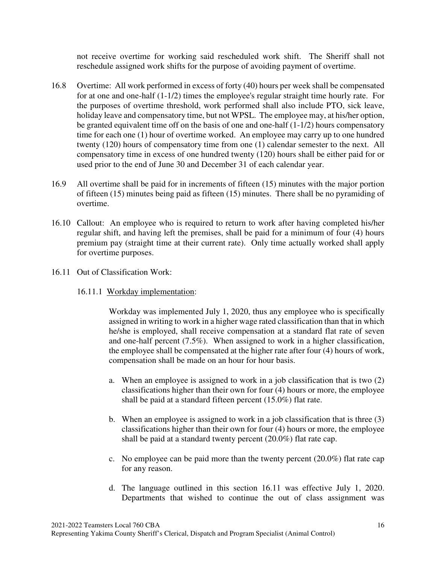not receive overtime for working said rescheduled work shift. The Sheriff shall not reschedule assigned work shifts for the purpose of avoiding payment of overtime.

- 16.8 Overtime: All work performed in excess of forty (40) hours per week shall be compensated for at one and one-half (1-1/2) times the employee's regular straight time hourly rate. For the purposes of overtime threshold, work performed shall also include PTO, sick leave, holiday leave and compensatory time, but not WPSL. The employee may, at his/her option, be granted equivalent time off on the basis of one and one-half (1-1/2) hours compensatory time for each one (1) hour of overtime worked. An employee may carry up to one hundred twenty (120) hours of compensatory time from one (1) calendar semester to the next. All compensatory time in excess of one hundred twenty (120) hours shall be either paid for or used prior to the end of June 30 and December 31 of each calendar year.
- 16.9 All overtime shall be paid for in increments of fifteen (15) minutes with the major portion of fifteen (15) minutes being paid as fifteen (15) minutes. There shall be no pyramiding of overtime.
- 16.10 Callout: An employee who is required to return to work after having completed his/her regular shift, and having left the premises, shall be paid for a minimum of four (4) hours premium pay (straight time at their current rate). Only time actually worked shall apply for overtime purposes.
- 16.11 Out of Classification Work:
	- 16.11.1 Workday implementation:

Workday was implemented July 1, 2020, thus any employee who is specifically assigned in writing to work in a higher wage rated classification than that in which he/she is employed, shall receive compensation at a standard flat rate of seven and one-half percent (7.5%). When assigned to work in a higher classification, the employee shall be compensated at the higher rate after four (4) hours of work, compensation shall be made on an hour for hour basis.

- a. When an employee is assigned to work in a job classification that is two (2) classifications higher than their own for four (4) hours or more, the employee shall be paid at a standard fifteen percent (15.0%) flat rate.
- b. When an employee is assigned to work in a job classification that is three (3) classifications higher than their own for four (4) hours or more, the employee shall be paid at a standard twenty percent (20.0%) flat rate cap.
- c. No employee can be paid more than the twenty percent (20.0%) flat rate cap for any reason.
- d. The language outlined in this section 16.11 was effective July 1, 2020. Departments that wished to continue the out of class assignment was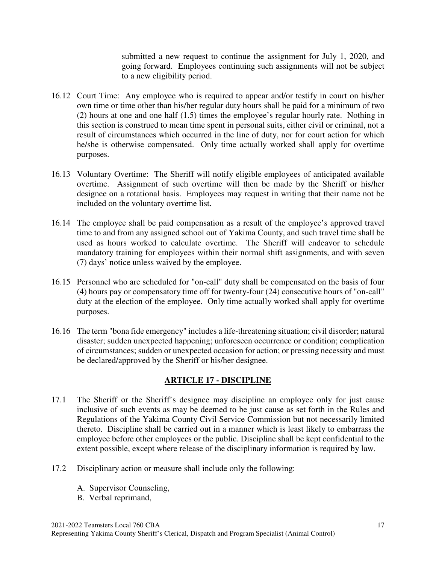submitted a new request to continue the assignment for July 1, 2020, and going forward. Employees continuing such assignments will not be subject to a new eligibility period.

- 16.12 Court Time: Any employee who is required to appear and/or testify in court on his/her own time or time other than his/her regular duty hours shall be paid for a minimum of two (2) hours at one and one half (1.5) times the employee's regular hourly rate. Nothing in this section is construed to mean time spent in personal suits, either civil or criminal, not a result of circumstances which occurred in the line of duty, nor for court action for which he/she is otherwise compensated. Only time actually worked shall apply for overtime purposes.
- 16.13 Voluntary Overtime: The Sheriff will notify eligible employees of anticipated available overtime. Assignment of such overtime will then be made by the Sheriff or his/her designee on a rotational basis. Employees may request in writing that their name not be included on the voluntary overtime list.
- 16.14 The employee shall be paid compensation as a result of the employee's approved travel time to and from any assigned school out of Yakima County, and such travel time shall be used as hours worked to calculate overtime. The Sheriff will endeavor to schedule mandatory training for employees within their normal shift assignments, and with seven (7) days' notice unless waived by the employee.
- 16.15 Personnel who are scheduled for "on-call" duty shall be compensated on the basis of four (4) hours pay or compensatory time off for twenty-four (24) consecutive hours of "on-call" duty at the election of the employee. Only time actually worked shall apply for overtime purposes.
- 16.16 The term "bona fide emergency" includes a life-threatening situation; civil disorder; natural disaster; sudden unexpected happening; unforeseen occurrence or condition; complication of circumstances; sudden or unexpected occasion for action; or pressing necessity and must be declared/approved by the Sheriff or his/her designee.

## **ARTICLE 17 - DISCIPLINE**

- 17.1 The Sheriff or the Sheriff's designee may discipline an employee only for just cause inclusive of such events as may be deemed to be just cause as set forth in the Rules and Regulations of the Yakima County Civil Service Commission but not necessarily limited thereto. Discipline shall be carried out in a manner which is least likely to embarrass the employee before other employees or the public. Discipline shall be kept confidential to the extent possible, except where release of the disciplinary information is required by law.
- 17.2 Disciplinary action or measure shall include only the following:
	- A. Supervisor Counseling,
	- B. Verbal reprimand,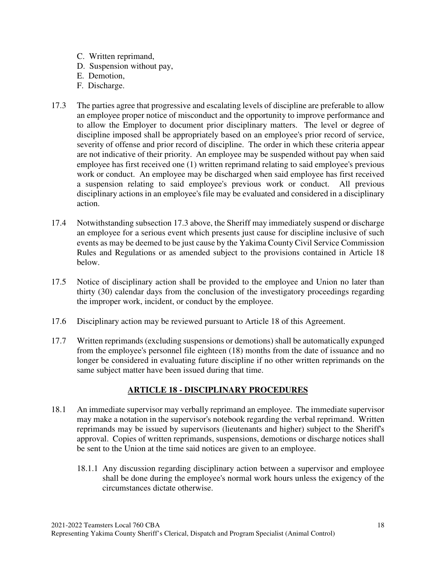- C. Written reprimand,
- D. Suspension without pay,
- E. Demotion,
- F. Discharge.
- 17.3 The parties agree that progressive and escalating levels of discipline are preferable to allow an employee proper notice of misconduct and the opportunity to improve performance and to allow the Employer to document prior disciplinary matters. The level or degree of discipline imposed shall be appropriately based on an employee's prior record of service, severity of offense and prior record of discipline. The order in which these criteria appear are not indicative of their priority. An employee may be suspended without pay when said employee has first received one (1) written reprimand relating to said employee's previous work or conduct. An employee may be discharged when said employee has first received a suspension relating to said employee's previous work or conduct. All previous disciplinary actions in an employee's file may be evaluated and considered in a disciplinary action.
- 17.4 Notwithstanding subsection 17.3 above, the Sheriff may immediately suspend or discharge an employee for a serious event which presents just cause for discipline inclusive of such events as may be deemed to be just cause by the Yakima County Civil Service Commission Rules and Regulations or as amended subject to the provisions contained in Article 18 below.
- 17.5 Notice of disciplinary action shall be provided to the employee and Union no later than thirty (30) calendar days from the conclusion of the investigatory proceedings regarding the improper work, incident, or conduct by the employee.
- 17.6 Disciplinary action may be reviewed pursuant to Article 18 of this Agreement.
- 17.7 Written reprimands (excluding suspensions or demotions) shall be automatically expunged from the employee's personnel file eighteen (18) months from the date of issuance and no longer be considered in evaluating future discipline if no other written reprimands on the same subject matter have been issued during that time.

## **ARTICLE 18 - DISCIPLINARY PROCEDURES**

- 18.1 An immediate supervisor may verbally reprimand an employee. The immediate supervisor may make a notation in the supervisor's notebook regarding the verbal reprimand. Written reprimands may be issued by supervisors (lieutenants and higher) subject to the Sheriff's approval. Copies of written reprimands, suspensions, demotions or discharge notices shall be sent to the Union at the time said notices are given to an employee.
	- 18.1.1 Any discussion regarding disciplinary action between a supervisor and employee shall be done during the employee's normal work hours unless the exigency of the circumstances dictate otherwise.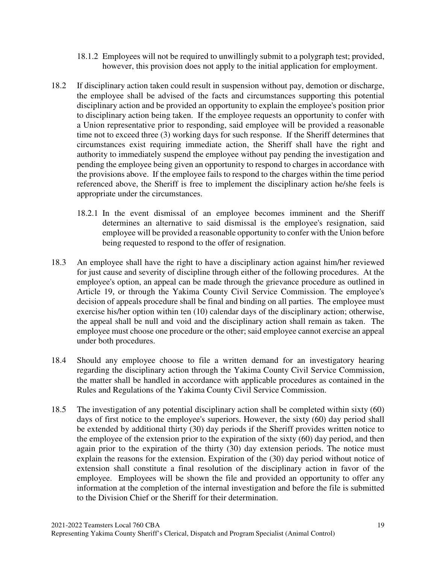- 18.1.2 Employees will not be required to unwillingly submit to a polygraph test; provided, however, this provision does not apply to the initial application for employment.
- 18.2 If disciplinary action taken could result in suspension without pay, demotion or discharge, the employee shall be advised of the facts and circumstances supporting this potential disciplinary action and be provided an opportunity to explain the employee's position prior to disciplinary action being taken. If the employee requests an opportunity to confer with a Union representative prior to responding, said employee will be provided a reasonable time not to exceed three (3) working days for such response. If the Sheriff determines that circumstances exist requiring immediate action, the Sheriff shall have the right and authority to immediately suspend the employee without pay pending the investigation and pending the employee being given an opportunity to respond to charges in accordance with the provisions above. If the employee fails to respond to the charges within the time period referenced above, the Sheriff is free to implement the disciplinary action he/she feels is appropriate under the circumstances.
	- 18.2.1 In the event dismissal of an employee becomes imminent and the Sheriff determines an alternative to said dismissal is the employee's resignation, said employee will be provided a reasonable opportunity to confer with the Union before being requested to respond to the offer of resignation.
- 18.3 An employee shall have the right to have a disciplinary action against him/her reviewed for just cause and severity of discipline through either of the following procedures. At the employee's option, an appeal can be made through the grievance procedure as outlined in Article 19, or through the Yakima County Civil Service Commission. The employee's decision of appeals procedure shall be final and binding on all parties. The employee must exercise his/her option within ten (10) calendar days of the disciplinary action; otherwise, the appeal shall be null and void and the disciplinary action shall remain as taken. The employee must choose one procedure or the other; said employee cannot exercise an appeal under both procedures.
- 18.4 Should any employee choose to file a written demand for an investigatory hearing regarding the disciplinary action through the Yakima County Civil Service Commission, the matter shall be handled in accordance with applicable procedures as contained in the Rules and Regulations of the Yakima County Civil Service Commission.
- 18.5 The investigation of any potential disciplinary action shall be completed within sixty (60) days of first notice to the employee's superiors. However, the sixty (60) day period shall be extended by additional thirty (30) day periods if the Sheriff provides written notice to the employee of the extension prior to the expiration of the sixty (60) day period, and then again prior to the expiration of the thirty (30) day extension periods. The notice must explain the reasons for the extension. Expiration of the (30) day period without notice of extension shall constitute a final resolution of the disciplinary action in favor of the employee. Employees will be shown the file and provided an opportunity to offer any information at the completion of the internal investigation and before the file is submitted to the Division Chief or the Sheriff for their determination.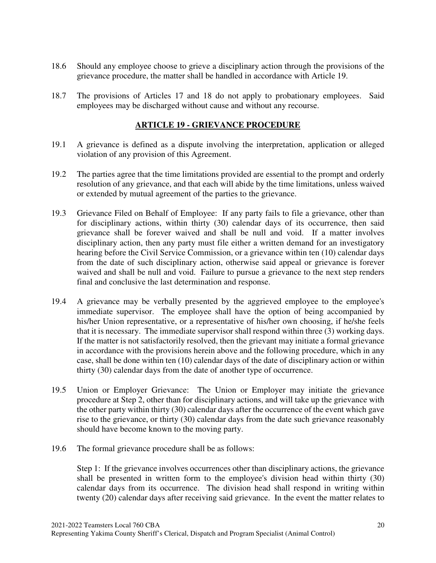- 18.6 Should any employee choose to grieve a disciplinary action through the provisions of the grievance procedure, the matter shall be handled in accordance with Article 19.
- 18.7 The provisions of Articles 17 and 18 do not apply to probationary employees. Said employees may be discharged without cause and without any recourse.

## **ARTICLE 19 - GRIEVANCE PROCEDURE**

- 19.1 A grievance is defined as a dispute involving the interpretation, application or alleged violation of any provision of this Agreement.
- 19.2 The parties agree that the time limitations provided are essential to the prompt and orderly resolution of any grievance, and that each will abide by the time limitations, unless waived or extended by mutual agreement of the parties to the grievance.
- 19.3 Grievance Filed on Behalf of Employee: If any party fails to file a grievance, other than for disciplinary actions, within thirty (30) calendar days of its occurrence, then said grievance shall be forever waived and shall be null and void. If a matter involves disciplinary action, then any party must file either a written demand for an investigatory hearing before the Civil Service Commission, or a grievance within ten (10) calendar days from the date of such disciplinary action, otherwise said appeal or grievance is forever waived and shall be null and void. Failure to pursue a grievance to the next step renders final and conclusive the last determination and response.
- 19.4 A grievance may be verbally presented by the aggrieved employee to the employee's immediate supervisor. The employee shall have the option of being accompanied by his/her Union representative, or a representative of his/her own choosing, if he/she feels that it is necessary. The immediate supervisor shall respond within three (3) working days. If the matter is not satisfactorily resolved, then the grievant may initiate a formal grievance in accordance with the provisions herein above and the following procedure, which in any case, shall be done within ten (10) calendar days of the date of disciplinary action or within thirty (30) calendar days from the date of another type of occurrence.
- 19.5 Union or Employer Grievance: The Union or Employer may initiate the grievance procedure at Step 2, other than for disciplinary actions, and will take up the grievance with the other party within thirty (30) calendar days after the occurrence of the event which gave rise to the grievance, or thirty (30) calendar days from the date such grievance reasonably should have become known to the moving party.
- 19.6 The formal grievance procedure shall be as follows:

Step 1: If the grievance involves occurrences other than disciplinary actions, the grievance shall be presented in written form to the employee's division head within thirty (30) calendar days from its occurrence. The division head shall respond in writing within twenty (20) calendar days after receiving said grievance. In the event the matter relates to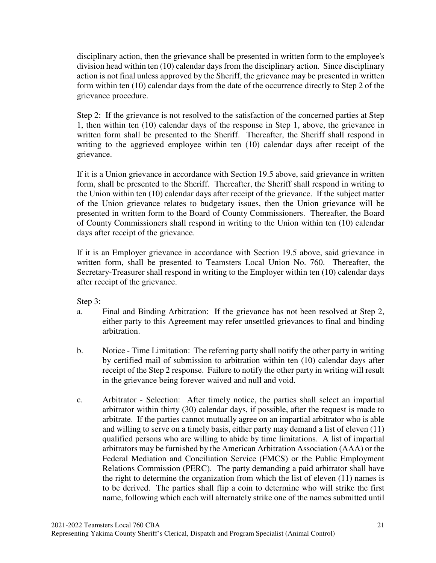disciplinary action, then the grievance shall be presented in written form to the employee's division head within ten (10) calendar days from the disciplinary action. Since disciplinary action is not final unless approved by the Sheriff, the grievance may be presented in written form within ten (10) calendar days from the date of the occurrence directly to Step 2 of the grievance procedure.

Step 2: If the grievance is not resolved to the satisfaction of the concerned parties at Step 1, then within ten (10) calendar days of the response in Step 1, above, the grievance in written form shall be presented to the Sheriff. Thereafter, the Sheriff shall respond in writing to the aggrieved employee within ten (10) calendar days after receipt of the grievance.

If it is a Union grievance in accordance with Section 19.5 above, said grievance in written form, shall be presented to the Sheriff. Thereafter, the Sheriff shall respond in writing to the Union within ten (10) calendar days after receipt of the grievance. If the subject matter of the Union grievance relates to budgetary issues, then the Union grievance will be presented in written form to the Board of County Commissioners. Thereafter, the Board of County Commissioners shall respond in writing to the Union within ten (10) calendar days after receipt of the grievance.

If it is an Employer grievance in accordance with Section 19.5 above, said grievance in written form, shall be presented to Teamsters Local Union No. 760. Thereafter, the Secretary-Treasurer shall respond in writing to the Employer within ten (10) calendar days after receipt of the grievance.

Step 3:

- a. Final and Binding Arbitration: If the grievance has not been resolved at Step 2, either party to this Agreement may refer unsettled grievances to final and binding arbitration.
- b. Notice Time Limitation: The referring party shall notify the other party in writing by certified mail of submission to arbitration within ten (10) calendar days after receipt of the Step 2 response. Failure to notify the other party in writing will result in the grievance being forever waived and null and void.
- c. Arbitrator Selection: After timely notice, the parties shall select an impartial arbitrator within thirty (30) calendar days, if possible, after the request is made to arbitrate. If the parties cannot mutually agree on an impartial arbitrator who is able and willing to serve on a timely basis, either party may demand a list of eleven (11) qualified persons who are willing to abide by time limitations. A list of impartial arbitrators may be furnished by the American Arbitration Association (AAA) or the Federal Mediation and Conciliation Service (FMCS) or the Public Employment Relations Commission (PERC). The party demanding a paid arbitrator shall have the right to determine the organization from which the list of eleven (11) names is to be derived. The parties shall flip a coin to determine who will strike the first name, following which each will alternately strike one of the names submitted until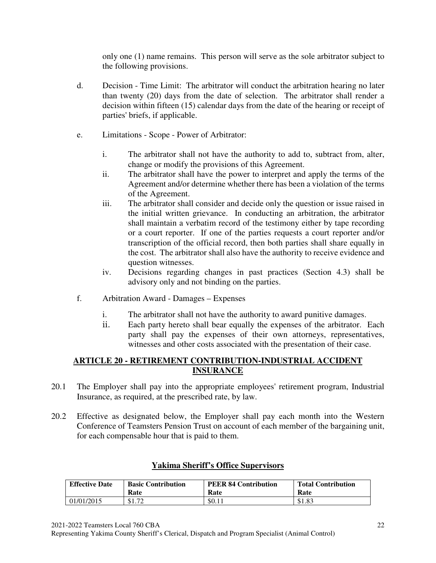only one (1) name remains. This person will serve as the sole arbitrator subject to the following provisions.

- d. Decision Time Limit: The arbitrator will conduct the arbitration hearing no later than twenty (20) days from the date of selection. The arbitrator shall render a decision within fifteen (15) calendar days from the date of the hearing or receipt of parties' briefs, if applicable.
- e. Limitations Scope Power of Arbitrator:
	- i. The arbitrator shall not have the authority to add to, subtract from, alter, change or modify the provisions of this Agreement.
	- ii. The arbitrator shall have the power to interpret and apply the terms of the Agreement and/or determine whether there has been a violation of the terms of the Agreement.
	- iii. The arbitrator shall consider and decide only the question or issue raised in the initial written grievance. In conducting an arbitration, the arbitrator shall maintain a verbatim record of the testimony either by tape recording or a court reporter. If one of the parties requests a court reporter and/or transcription of the official record, then both parties shall share equally in the cost. The arbitrator shall also have the authority to receive evidence and question witnesses.
	- iv. Decisions regarding changes in past practices (Section 4.3) shall be advisory only and not binding on the parties.
- f. Arbitration Award Damages Expenses
	- i. The arbitrator shall not have the authority to award punitive damages.
	- ii. Each party hereto shall bear equally the expenses of the arbitrator. Each party shall pay the expenses of their own attorneys, representatives, witnesses and other costs associated with the presentation of their case.

### **ARTICLE 20 - RETIREMENT CONTRIBUTION-INDUSTRIAL ACCIDENT INSURANCE**

- 20.1 The Employer shall pay into the appropriate employees' retirement program, Industrial Insurance, as required, at the prescribed rate, by law.
- 20.2 Effective as designated below, the Employer shall pay each month into the Western Conference of Teamsters Pension Trust on account of each member of the bargaining unit, for each compensable hour that is paid to them.

| <b>Effective Date</b> | <b>Basic Contribution</b> | <b>PEER 84 Contribution</b> | <b>Total Contribution</b> |
|-----------------------|---------------------------|-----------------------------|---------------------------|
|                       | Rate                      | Rate                        | Rate                      |
| 01/01/2015            | \$1.72                    | \$0.11                      | \$1.83                    |

## **Yakima Sheriff's Office Supervisors**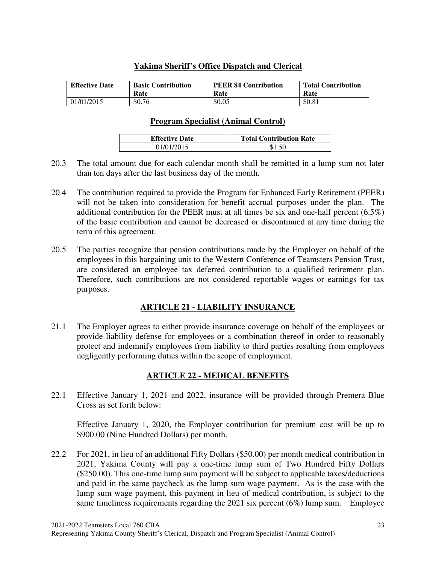## **Yakima Sheriff's Office Dispatch and Clerical**

| <b>Effective Date</b> | <b>Basic Contribution</b> | <b>PEER 84 Contribution</b> | <b>Total Contribution</b> |  |
|-----------------------|---------------------------|-----------------------------|---------------------------|--|
|                       | Rate                      | Rate                        | Rate                      |  |
| 01/01/2015            | \$0.76                    | \$0.05                      | \$0.81                    |  |

#### **Program Specialist (Animal Control)**

| <b>Effective Date</b> | <b>Total Contribution Rate</b> |
|-----------------------|--------------------------------|
| 01/01/2015            |                                |

- 20.3 The total amount due for each calendar month shall be remitted in a lump sum not later than ten days after the last business day of the month.
- 20.4 The contribution required to provide the Program for Enhanced Early Retirement (PEER) will not be taken into consideration for benefit accrual purposes under the plan. The additional contribution for the PEER must at all times be six and one-half percent (6.5%) of the basic contribution and cannot be decreased or discontinued at any time during the term of this agreement.
- 20.5 The parties recognize that pension contributions made by the Employer on behalf of the employees in this bargaining unit to the Western Conference of Teamsters Pension Trust, are considered an employee tax deferred contribution to a qualified retirement plan. Therefore, such contributions are not considered reportable wages or earnings for tax purposes.

# **ARTICLE 21 - LIABILITY INSURANCE**

21.1 The Employer agrees to either provide insurance coverage on behalf of the employees or provide liability defense for employees or a combination thereof in order to reasonably protect and indemnify employees from liability to third parties resulting from employees negligently performing duties within the scope of employment.

# **ARTICLE 22 - MEDICAL BENEFITS**

22.1 Effective January 1, 2021 and 2022, insurance will be provided through Premera Blue Cross as set forth below:

 Effective January 1, 2020, the Employer contribution for premium cost will be up to \$900.00 (Nine Hundred Dollars) per month.

22.2 For 2021, in lieu of an additional Fifty Dollars (\$50.00) per month medical contribution in 2021, Yakima County will pay a one-time lump sum of Two Hundred Fifty Dollars (\$250.00). This one-time lump sum payment will be subject to applicable taxes/deductions and paid in the same paycheck as the lump sum wage payment. As is the case with the lump sum wage payment, this payment in lieu of medical contribution, is subject to the same timeliness requirements regarding the 2021 six percent (6%) lump sum. Employee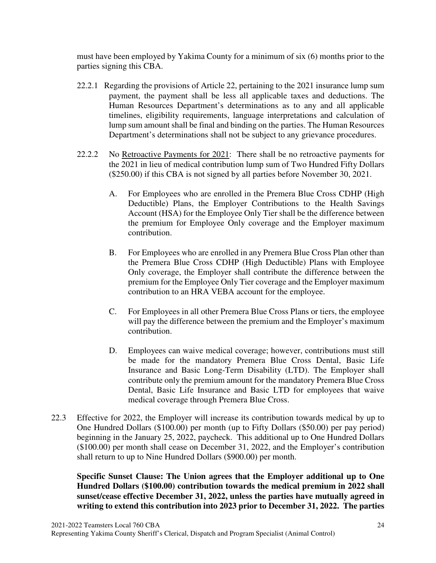must have been employed by Yakima County for a minimum of six (6) months prior to the parties signing this CBA.

- 22.2.1 Regarding the provisions of Article 22, pertaining to the 2021 insurance lump sum payment, the payment shall be less all applicable taxes and deductions. The Human Resources Department's determinations as to any and all applicable timelines, eligibility requirements, language interpretations and calculation of lump sum amount shall be final and binding on the parties. The Human Resources Department's determinations shall not be subject to any grievance procedures.
- 22.2.2 No Retroactive Payments for 2021: There shall be no retroactive payments for the 2021 in lieu of medical contribution lump sum of Two Hundred Fifty Dollars (\$250.00) if this CBA is not signed by all parties before November 30, 2021.
	- A. For Employees who are enrolled in the Premera Blue Cross CDHP (High Deductible) Plans, the Employer Contributions to the Health Savings Account (HSA) for the Employee Only Tier shall be the difference between the premium for Employee Only coverage and the Employer maximum contribution.
	- B. For Employees who are enrolled in any Premera Blue Cross Plan other than the Premera Blue Cross CDHP (High Deductible) Plans with Employee Only coverage, the Employer shall contribute the difference between the premium for the Employee Only Tier coverage and the Employer maximum contribution to an HRA VEBA account for the employee.
	- C. For Employees in all other Premera Blue Cross Plans or tiers, the employee will pay the difference between the premium and the Employer's maximum contribution.
	- D. Employees can waive medical coverage; however, contributions must still be made for the mandatory Premera Blue Cross Dental, Basic Life Insurance and Basic Long-Term Disability (LTD). The Employer shall contribute only the premium amount for the mandatory Premera Blue Cross Dental, Basic Life Insurance and Basic LTD for employees that waive medical coverage through Premera Blue Cross.
- 22.3 Effective for 2022, the Employer will increase its contribution towards medical by up to One Hundred Dollars (\$100.00) per month (up to Fifty Dollars (\$50.00) per pay period) beginning in the January 25, 2022, paycheck. This additional up to One Hundred Dollars (\$100.00) per month shall cease on December 31, 2022, and the Employer's contribution shall return to up to Nine Hundred Dollars (\$900.00) per month.

**Specific Sunset Clause: The Union agrees that the Employer additional up to One Hundred Dollars (\$100.00) contribution towards the medical premium in 2022 shall sunset/cease effective December 31, 2022, unless the parties have mutually agreed in writing to extend this contribution into 2023 prior to December 31, 2022. The parties**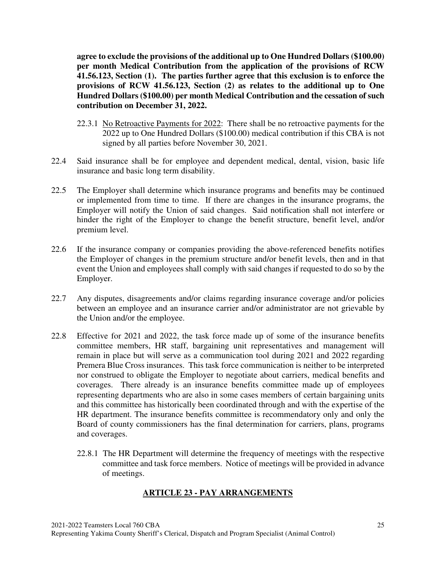**agree to exclude the provisions of the additional up to One Hundred Dollars (\$100.00) per month Medical Contribution from the application of the provisions of RCW 41.56.123, Section (1). The parties further agree that this exclusion is to enforce the provisions of RCW 41.56.123, Section (2) as relates to the additional up to One Hundred Dollars (\$100.00) per month Medical Contribution and the cessation of such contribution on December 31, 2022.** 

- 22.3.1 No Retroactive Payments for 2022: There shall be no retroactive payments for the 2022 up to One Hundred Dollars (\$100.00) medical contribution if this CBA is not signed by all parties before November 30, 2021.
- 22.4 Said insurance shall be for employee and dependent medical, dental, vision, basic life insurance and basic long term disability.
- 22.5 The Employer shall determine which insurance programs and benefits may be continued or implemented from time to time. If there are changes in the insurance programs, the Employer will notify the Union of said changes. Said notification shall not interfere or hinder the right of the Employer to change the benefit structure, benefit level, and/or premium level.
- 22.6 If the insurance company or companies providing the above-referenced benefits notifies the Employer of changes in the premium structure and/or benefit levels, then and in that event the Union and employees shall comply with said changes if requested to do so by the Employer.
- 22.7 Any disputes, disagreements and/or claims regarding insurance coverage and/or policies between an employee and an insurance carrier and/or administrator are not grievable by the Union and/or the employee.
- 22.8 Effective for 2021 and 2022, the task force made up of some of the insurance benefits committee members, HR staff, bargaining unit representatives and management will remain in place but will serve as a communication tool during 2021 and 2022 regarding Premera Blue Cross insurances. This task force communication is neither to be interpreted nor construed to obligate the Employer to negotiate about carriers, medical benefits and coverages. There already is an insurance benefits committee made up of employees representing departments who are also in some cases members of certain bargaining units and this committee has historically been coordinated through and with the expertise of the HR department. The insurance benefits committee is recommendatory only and only the Board of county commissioners has the final determination for carriers, plans, programs and coverages.
	- 22.8.1 The HR Department will determine the frequency of meetings with the respective committee and task force members. Notice of meetings will be provided in advance of meetings.

## **ARTICLE 23 - PAY ARRANGEMENTS**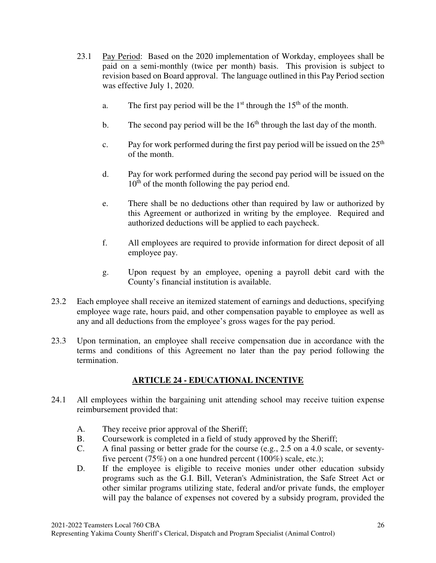- 23.1 Pay Period: Based on the 2020 implementation of Workday, employees shall be paid on a semi-monthly (twice per month) basis. This provision is subject to revision based on Board approval. The language outlined in this Pay Period section was effective July 1, 2020.
	- a. The first pay period will be the  $1<sup>st</sup>$  through the  $15<sup>th</sup>$  of the month.
	- b. The second pay period will be the  $16<sup>th</sup>$  through the last day of the month.
	- c. Pay for work performed during the first pay period will be issued on the  $25<sup>th</sup>$ of the month.
	- d. Pay for work performed during the second pay period will be issued on the  $10<sup>th</sup>$  of the month following the pay period end.
	- e. There shall be no deductions other than required by law or authorized by this Agreement or authorized in writing by the employee. Required and authorized deductions will be applied to each paycheck.
	- f. All employees are required to provide information for direct deposit of all employee pay.
	- g. Upon request by an employee, opening a payroll debit card with the County's financial institution is available.
- 23.2 Each employee shall receive an itemized statement of earnings and deductions, specifying employee wage rate, hours paid, and other compensation payable to employee as well as any and all deductions from the employee's gross wages for the pay period.
- 23.3 Upon termination, an employee shall receive compensation due in accordance with the terms and conditions of this Agreement no later than the pay period following the termination.

# **ARTICLE 24 - EDUCATIONAL INCENTIVE**

- 24.1 All employees within the bargaining unit attending school may receive tuition expense reimbursement provided that:
	- A. They receive prior approval of the Sheriff;
	- B. Coursework is completed in a field of study approved by the Sheriff;
	- C. A final passing or better grade for the course (e.g., 2.5 on a 4.0 scale, or seventyfive percent (75%) on a one hundred percent (100%) scale, etc.);
	- D. If the employee is eligible to receive monies under other education subsidy programs such as the G.I. Bill, Veteran's Administration, the Safe Street Act or other similar programs utilizing state, federal and/or private funds, the employer will pay the balance of expenses not covered by a subsidy program, provided the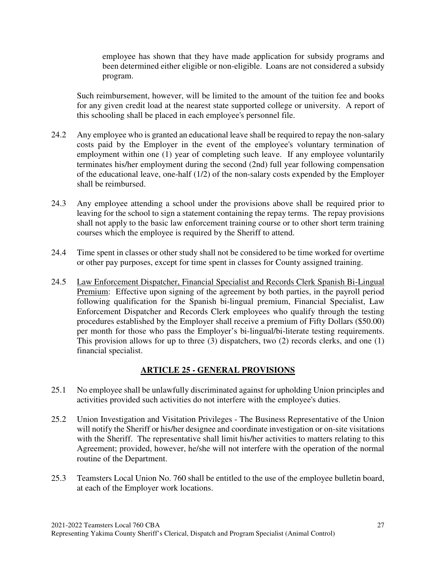employee has shown that they have made application for subsidy programs and been determined either eligible or non-eligible. Loans are not considered a subsidy program.

Such reimbursement, however, will be limited to the amount of the tuition fee and books for any given credit load at the nearest state supported college or university. A report of this schooling shall be placed in each employee's personnel file.

- 24.2 Any employee who is granted an educational leave shall be required to repay the non-salary costs paid by the Employer in the event of the employee's voluntary termination of employment within one (1) year of completing such leave. If any employee voluntarily terminates his/her employment during the second (2nd) full year following compensation of the educational leave, one-half (1/2) of the non-salary costs expended by the Employer shall be reimbursed.
- 24.3 Any employee attending a school under the provisions above shall be required prior to leaving for the school to sign a statement containing the repay terms. The repay provisions shall not apply to the basic law enforcement training course or to other short term training courses which the employee is required by the Sheriff to attend.
- 24.4 Time spent in classes or other study shall not be considered to be time worked for overtime or other pay purposes, except for time spent in classes for County assigned training.
- 24.5 Law Enforcement Dispatcher, Financial Specialist and Records Clerk Spanish Bi-Lingual Premium: Effective upon signing of the agreement by both parties, in the payroll period following qualification for the Spanish bi-lingual premium, Financial Specialist, Law Enforcement Dispatcher and Records Clerk employees who qualify through the testing procedures established by the Employer shall receive a premium of Fifty Dollars (\$50.00) per month for those who pass the Employer's bi-lingual/bi-literate testing requirements. This provision allows for up to three (3) dispatchers, two (2) records clerks, and one (1) financial specialist.

## **ARTICLE 25 - GENERAL PROVISIONS**

- 25.1 No employee shall be unlawfully discriminated against for upholding Union principles and activities provided such activities do not interfere with the employee's duties.
- 25.2 Union Investigation and Visitation Privileges The Business Representative of the Union will notify the Sheriff or his/her designee and coordinate investigation or on-site visitations with the Sheriff. The representative shall limit his/her activities to matters relating to this Agreement; provided, however, he/she will not interfere with the operation of the normal routine of the Department.
- 25.3 Teamsters Local Union No. 760 shall be entitled to the use of the employee bulletin board, at each of the Employer work locations.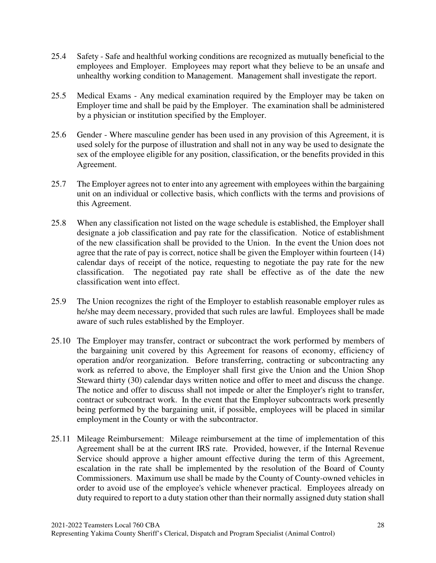- 25.4 Safety Safe and healthful working conditions are recognized as mutually beneficial to the employees and Employer. Employees may report what they believe to be an unsafe and unhealthy working condition to Management. Management shall investigate the report.
- 25.5 Medical Exams Any medical examination required by the Employer may be taken on Employer time and shall be paid by the Employer. The examination shall be administered by a physician or institution specified by the Employer.
- 25.6 Gender Where masculine gender has been used in any provision of this Agreement, it is used solely for the purpose of illustration and shall not in any way be used to designate the sex of the employee eligible for any position, classification, or the benefits provided in this Agreement.
- 25.7 The Employer agrees not to enter into any agreement with employees within the bargaining unit on an individual or collective basis, which conflicts with the terms and provisions of this Agreement.
- 25.8 When any classification not listed on the wage schedule is established, the Employer shall designate a job classification and pay rate for the classification. Notice of establishment of the new classification shall be provided to the Union. In the event the Union does not agree that the rate of pay is correct, notice shall be given the Employer within fourteen (14) calendar days of receipt of the notice, requesting to negotiate the pay rate for the new classification. The negotiated pay rate shall be effective as of the date the new classification went into effect.
- 25.9 The Union recognizes the right of the Employer to establish reasonable employer rules as he/she may deem necessary, provided that such rules are lawful. Employees shall be made aware of such rules established by the Employer.
- 25.10 The Employer may transfer, contract or subcontract the work performed by members of the bargaining unit covered by this Agreement for reasons of economy, efficiency of operation and/or reorganization. Before transferring, contracting or subcontracting any work as referred to above, the Employer shall first give the Union and the Union Shop Steward thirty (30) calendar days written notice and offer to meet and discuss the change. The notice and offer to discuss shall not impede or alter the Employer's right to transfer, contract or subcontract work. In the event that the Employer subcontracts work presently being performed by the bargaining unit, if possible, employees will be placed in similar employment in the County or with the subcontractor.
- 25.11 Mileage Reimbursement: Mileage reimbursement at the time of implementation of this Agreement shall be at the current IRS rate. Provided, however, if the Internal Revenue Service should approve a higher amount effective during the term of this Agreement, escalation in the rate shall be implemented by the resolution of the Board of County Commissioners. Maximum use shall be made by the County of County-owned vehicles in order to avoid use of the employee's vehicle whenever practical. Employees already on duty required to report to a duty station other than their normally assigned duty station shall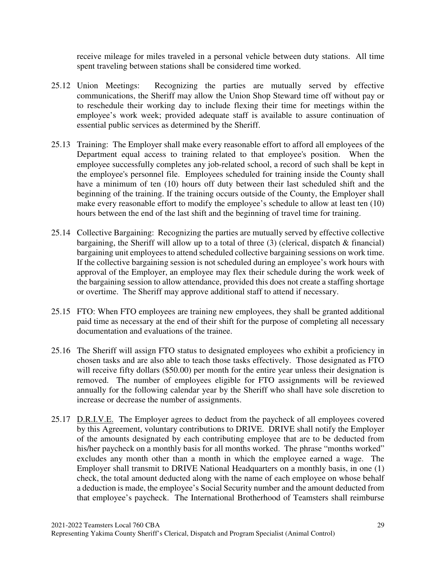receive mileage for miles traveled in a personal vehicle between duty stations. All time spent traveling between stations shall be considered time worked.

- 25.12 Union Meetings: Recognizing the parties are mutually served by effective communications, the Sheriff may allow the Union Shop Steward time off without pay or to reschedule their working day to include flexing their time for meetings within the employee's work week; provided adequate staff is available to assure continuation of essential public services as determined by the Sheriff.
- 25.13 Training: The Employer shall make every reasonable effort to afford all employees of the Department equal access to training related to that employee's position. When the employee successfully completes any job-related school, a record of such shall be kept in the employee's personnel file. Employees scheduled for training inside the County shall have a minimum of ten (10) hours off duty between their last scheduled shift and the beginning of the training. If the training occurs outside of the County, the Employer shall make every reasonable effort to modify the employee's schedule to allow at least ten (10) hours between the end of the last shift and the beginning of travel time for training.
- 25.14 Collective Bargaining: Recognizing the parties are mutually served by effective collective bargaining, the Sheriff will allow up to a total of three  $(3)$  (clerical, dispatch & financial) bargaining unit employees to attend scheduled collective bargaining sessions on work time. If the collective bargaining session is not scheduled during an employee's work hours with approval of the Employer, an employee may flex their schedule during the work week of the bargaining session to allow attendance, provided this does not create a staffing shortage or overtime. The Sheriff may approve additional staff to attend if necessary.
- 25.15 FTO: When FTO employees are training new employees, they shall be granted additional paid time as necessary at the end of their shift for the purpose of completing all necessary documentation and evaluations of the trainee.
- 25.16 The Sheriff will assign FTO status to designated employees who exhibit a proficiency in chosen tasks and are also able to teach those tasks effectively. Those designated as FTO will receive fifty dollars (\$50.00) per month for the entire year unless their designation is removed. The number of employees eligible for FTO assignments will be reviewed annually for the following calendar year by the Sheriff who shall have sole discretion to increase or decrease the number of assignments.
- 25.17 D.R.I.V.E. The Employer agrees to deduct from the paycheck of all employees covered by this Agreement, voluntary contributions to DRIVE. DRIVE shall notify the Employer of the amounts designated by each contributing employee that are to be deducted from his/her paycheck on a monthly basis for all months worked. The phrase "months worked" excludes any month other than a month in which the employee earned a wage. The Employer shall transmit to DRIVE National Headquarters on a monthly basis, in one (1) check, the total amount deducted along with the name of each employee on whose behalf a deduction is made, the employee's Social Security number and the amount deducted from that employee's paycheck. The International Brotherhood of Teamsters shall reimburse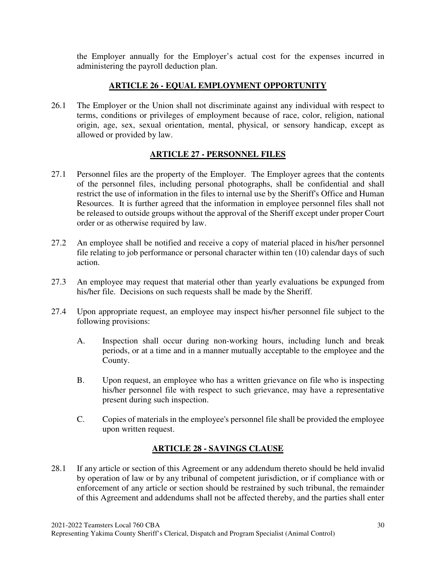the Employer annually for the Employer's actual cost for the expenses incurred in administering the payroll deduction plan.

## **ARTICLE 26 - EQUAL EMPLOYMENT OPPORTUNITY**

26.1 The Employer or the Union shall not discriminate against any individual with respect to terms, conditions or privileges of employment because of race, color, religion, national origin, age, sex, sexual orientation, mental, physical, or sensory handicap, except as allowed or provided by law.

## **ARTICLE 27 - PERSONNEL FILES**

- 27.1 Personnel files are the property of the Employer. The Employer agrees that the contents of the personnel files, including personal photographs, shall be confidential and shall restrict the use of information in the files to internal use by the Sheriff's Office and Human Resources. It is further agreed that the information in employee personnel files shall not be released to outside groups without the approval of the Sheriff except under proper Court order or as otherwise required by law.
- 27.2 An employee shall be notified and receive a copy of material placed in his/her personnel file relating to job performance or personal character within ten (10) calendar days of such action.
- 27.3 An employee may request that material other than yearly evaluations be expunged from his/her file. Decisions on such requests shall be made by the Sheriff.
- 27.4 Upon appropriate request, an employee may inspect his/her personnel file subject to the following provisions:
	- A. Inspection shall occur during non-working hours, including lunch and break periods, or at a time and in a manner mutually acceptable to the employee and the County.
	- B. Upon request, an employee who has a written grievance on file who is inspecting his/her personnel file with respect to such grievance, may have a representative present during such inspection.
	- C. Copies of materials in the employee's personnel file shall be provided the employee upon written request.

# **ARTICLE 28 - SAVINGS CLAUSE**

28.1 If any article or section of this Agreement or any addendum thereto should be held invalid by operation of law or by any tribunal of competent jurisdiction, or if compliance with or enforcement of any article or section should be restrained by such tribunal, the remainder of this Agreement and addendums shall not be affected thereby, and the parties shall enter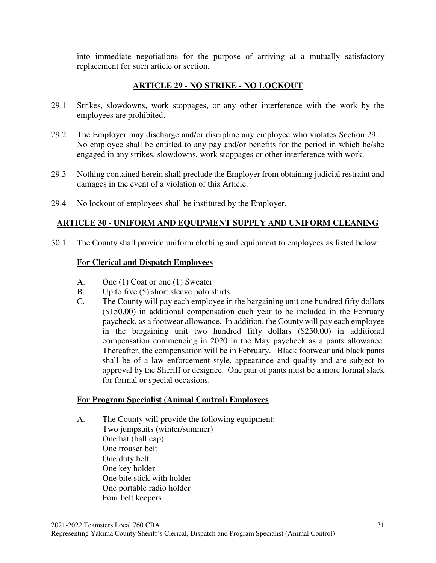into immediate negotiations for the purpose of arriving at a mutually satisfactory replacement for such article or section.

## **ARTICLE 29 - NO STRIKE - NO LOCKOUT**

- 29.1 Strikes, slowdowns, work stoppages, or any other interference with the work by the employees are prohibited.
- 29.2 The Employer may discharge and/or discipline any employee who violates Section 29.1. No employee shall be entitled to any pay and/or benefits for the period in which he/she engaged in any strikes, slowdowns, work stoppages or other interference with work.
- 29.3 Nothing contained herein shall preclude the Employer from obtaining judicial restraint and damages in the event of a violation of this Article.
- 29.4 No lockout of employees shall be instituted by the Employer.

## **ARTICLE 30 - UNIFORM AND EQUIPMENT SUPPLY AND UNIFORM CLEANING**

30.1 The County shall provide uniform clothing and equipment to employees as listed below:

## **For Clerical and Dispatch Employees**

- A. One (1) Coat or one (1) Sweater
- B. Up to five (5) short sleeve polo shirts.
- C. The County will pay each employee in the bargaining unit one hundred fifty dollars (\$150.00) in additional compensation each year to be included in the February paycheck, as a footwear allowance. In addition, the County will pay each employee in the bargaining unit two hundred fifty dollars (\$250.00) in additional compensation commencing in 2020 in the May paycheck as a pants allowance. Thereafter, the compensation will be in February. Black footwear and black pants shall be of a law enforcement style, appearance and quality and are subject to approval by the Sheriff or designee. One pair of pants must be a more formal slack for formal or special occasions.

#### **For Program Specialist (Animal Control) Employees**

 A. The County will provide the following equipment: Two jumpsuits (winter/summer) One hat (ball cap) One trouser belt One duty belt One key holder One bite stick with holder One portable radio holder Four belt keepers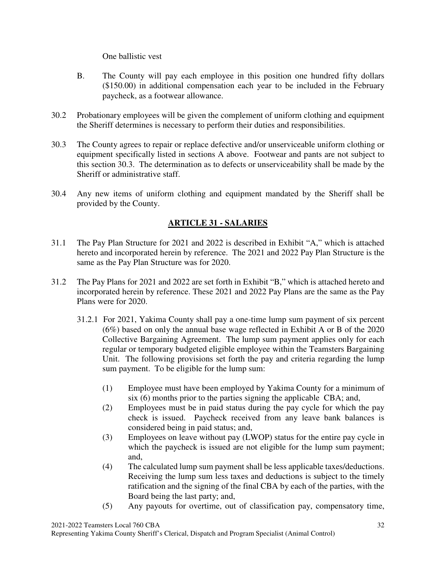One ballistic vest

- B. The County will pay each employee in this position one hundred fifty dollars (\$150.00) in additional compensation each year to be included in the February paycheck, as a footwear allowance.
- 30.2 Probationary employees will be given the complement of uniform clothing and equipment the Sheriff determines is necessary to perform their duties and responsibilities.
- 30.3 The County agrees to repair or replace defective and/or unserviceable uniform clothing or equipment specifically listed in sections A above. Footwear and pants are not subject to this section 30.3. The determination as to defects or unserviceability shall be made by the Sheriff or administrative staff.
- 30.4 Any new items of uniform clothing and equipment mandated by the Sheriff shall be provided by the County.

# **ARTICLE 31 - SALARIES**

- 31.1 The Pay Plan Structure for 2021 and 2022 is described in Exhibit "A," which is attached hereto and incorporated herein by reference. The 2021 and 2022 Pay Plan Structure is the same as the Pay Plan Structure was for 2020.
- 31.2 The Pay Plans for 2021 and 2022 are set forth in Exhibit "B," which is attached hereto and incorporated herein by reference. These 2021 and 2022 Pay Plans are the same as the Pay Plans were for 2020.
	- 31.2.1For 2021, Yakima County shall pay a one-time lump sum payment of six percent (6%) based on only the annual base wage reflected in Exhibit A or B of the 2020 Collective Bargaining Agreement. The lump sum payment applies only for each regular or temporary budgeted eligible employee within the Teamsters Bargaining Unit. The following provisions set forth the pay and criteria regarding the lump sum payment. To be eligible for the lump sum:
		- (1) Employee must have been employed by Yakima County for a minimum of six (6) months prior to the parties signing the applicable CBA; and,
		- (2) Employees must be in paid status during the pay cycle for which the pay check is issued. Paycheck received from any leave bank balances is considered being in paid status; and,
		- (3) Employees on leave without pay (LWOP) status for the entire pay cycle in which the paycheck is issued are not eligible for the lump sum payment; and,
		- (4) The calculated lump sum payment shall be less applicable taxes/deductions. Receiving the lump sum less taxes and deductions is subject to the timely ratification and the signing of the final CBA by each of the parties, with the Board being the last party; and,
		- (5) Any payouts for overtime, out of classification pay, compensatory time,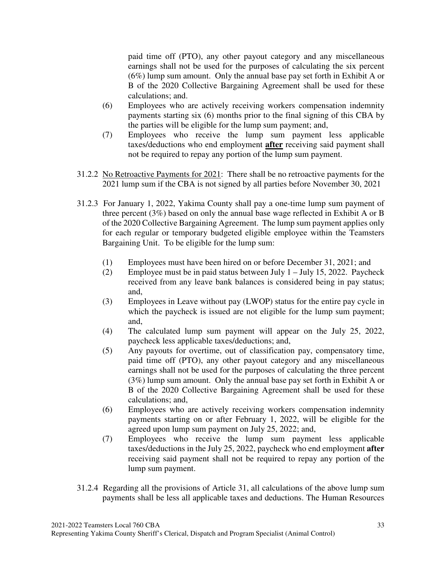paid time off (PTO), any other payout category and any miscellaneous earnings shall not be used for the purposes of calculating the six percent (6%) lump sum amount. Only the annual base pay set forth in Exhibit A or B of the 2020 Collective Bargaining Agreement shall be used for these calculations; and.

- (6) Employees who are actively receiving workers compensation indemnity payments starting six (6) months prior to the final signing of this CBA by the parties will be eligible for the lump sum payment; and,
- (7) Employees who receive the lump sum payment less applicable taxes/deductions who end employment **after** receiving said payment shall not be required to repay any portion of the lump sum payment.
- 31.2.2 No Retroactive Payments for 2021: There shall be no retroactive payments for the 2021 lump sum if the CBA is not signed by all parties before November 30, 2021
- 31.2.3 For January 1, 2022, Yakima County shall pay a one-time lump sum payment of three percent (3%) based on only the annual base wage reflected in Exhibit A or B of the 2020 Collective Bargaining Agreement. The lump sum payment applies only for each regular or temporary budgeted eligible employee within the Teamsters Bargaining Unit. To be eligible for the lump sum:
	- (1) Employees must have been hired on or before December 31, 2021; and
	- (2) Employee must be in paid status between July 1 July 15, 2022. Paycheck received from any leave bank balances is considered being in pay status; and,
	- (3) Employees in Leave without pay (LWOP) status for the entire pay cycle in which the paycheck is issued are not eligible for the lump sum payment; and,
	- (4) The calculated lump sum payment will appear on the July 25, 2022, paycheck less applicable taxes/deductions; and,
	- (5) Any payouts for overtime, out of classification pay, compensatory time, paid time off (PTO), any other payout category and any miscellaneous earnings shall not be used for the purposes of calculating the three percent (3%) lump sum amount. Only the annual base pay set forth in Exhibit A or B of the 2020 Collective Bargaining Agreement shall be used for these calculations; and,
	- (6) Employees who are actively receiving workers compensation indemnity payments starting on or after February 1, 2022, will be eligible for the agreed upon lump sum payment on July 25, 2022; and,
	- (7) Employees who receive the lump sum payment less applicable taxes/deductions in the July 25, 2022, paycheck who end employment **after**  receiving said payment shall not be required to repay any portion of the lump sum payment.
- 31.2.4 Regarding all the provisions of Article 31, all calculations of the above lump sum payments shall be less all applicable taxes and deductions. The Human Resources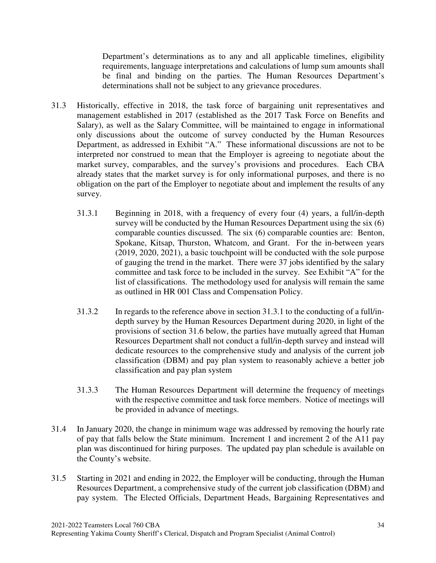Department's determinations as to any and all applicable timelines, eligibility requirements, language interpretations and calculations of lump sum amounts shall be final and binding on the parties. The Human Resources Department's determinations shall not be subject to any grievance procedures.

- 31.3 Historically, effective in 2018, the task force of bargaining unit representatives and management established in 2017 (established as the 2017 Task Force on Benefits and Salary), as well as the Salary Committee, will be maintained to engage in informational only discussions about the outcome of survey conducted by the Human Resources Department, as addressed in Exhibit "A." These informational discussions are not to be interpreted nor construed to mean that the Employer is agreeing to negotiate about the market survey, comparables, and the survey's provisions and procedures. Each CBA already states that the market survey is for only informational purposes, and there is no obligation on the part of the Employer to negotiate about and implement the results of any survey.
	- 31.3.1 Beginning in 2018, with a frequency of every four (4) years, a full/in-depth survey will be conducted by the Human Resources Department using the six (6) comparable counties discussed. The six (6) comparable counties are: Benton, Spokane, Kitsap, Thurston, Whatcom, and Grant. For the in-between years (2019, 2020, 2021), a basic touchpoint will be conducted with the sole purpose of gauging the trend in the market. There were 37 jobs identified by the salary committee and task force to be included in the survey. See Exhibit "A" for the list of classifications. The methodology used for analysis will remain the same as outlined in HR 001 Class and Compensation Policy.
	- 31.3.2 In regards to the reference above in section 31.3.1 to the conducting of a full/indepth survey by the Human Resources Department during 2020, in light of the provisions of section 31.6 below, the parties have mutually agreed that Human Resources Department shall not conduct a full/in-depth survey and instead will dedicate resources to the comprehensive study and analysis of the current job classification (DBM) and pay plan system to reasonably achieve a better job classification and pay plan system
	- 31.3.3 The Human Resources Department will determine the frequency of meetings with the respective committee and task force members. Notice of meetings will be provided in advance of meetings.
- 31.4 In January 2020, the change in minimum wage was addressed by removing the hourly rate of pay that falls below the State minimum. Increment 1 and increment 2 of the A11 pay plan was discontinued for hiring purposes. The updated pay plan schedule is available on the County's website.
- 31.5 Starting in 2021 and ending in 2022, the Employer will be conducting, through the Human Resources Department, a comprehensive study of the current job classification (DBM) and pay system. The Elected Officials, Department Heads, Bargaining Representatives and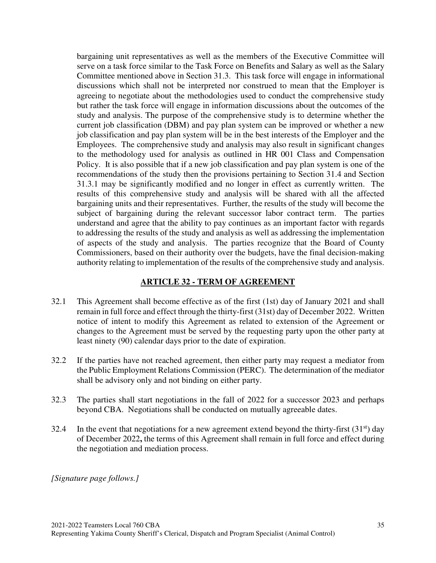bargaining unit representatives as well as the members of the Executive Committee will serve on a task force similar to the Task Force on Benefits and Salary as well as the Salary Committee mentioned above in Section 31.3. This task force will engage in informational discussions which shall not be interpreted nor construed to mean that the Employer is agreeing to negotiate about the methodologies used to conduct the comprehensive study but rather the task force will engage in information discussions about the outcomes of the study and analysis. The purpose of the comprehensive study is to determine whether the current job classification (DBM) and pay plan system can be improved or whether a new job classification and pay plan system will be in the best interests of the Employer and the Employees. The comprehensive study and analysis may also result in significant changes to the methodology used for analysis as outlined in HR 001 Class and Compensation Policy. It is also possible that if a new job classification and pay plan system is one of the recommendations of the study then the provisions pertaining to Section 31.4 and Section 31.3.1 may be significantly modified and no longer in effect as currently written. The results of this comprehensive study and analysis will be shared with all the affected bargaining units and their representatives. Further, the results of the study will become the subject of bargaining during the relevant successor labor contract term. The parties understand and agree that the ability to pay continues as an important factor with regards to addressing the results of the study and analysis as well as addressing the implementation of aspects of the study and analysis. The parties recognize that the Board of County Commissioners, based on their authority over the budgets, have the final decision-making authority relating to implementation of the results of the comprehensive study and analysis.

#### **ARTICLE 32 - TERM OF AGREEMENT**

- 32.1 This Agreement shall become effective as of the first (1st) day of January 2021 and shall remain in full force and effect through the thirty-first (31st) day of December 2022. Written notice of intent to modify this Agreement as related to extension of the Agreement or changes to the Agreement must be served by the requesting party upon the other party at least ninety (90) calendar days prior to the date of expiration.
- 32.2 If the parties have not reached agreement, then either party may request a mediator from the Public Employment Relations Commission (PERC). The determination of the mediator shall be advisory only and not binding on either party.
- 32.3 The parties shall start negotiations in the fall of 2022 for a successor 2023 and perhaps beyond CBA. Negotiations shall be conducted on mutually agreeable dates.
- 32.4 In the event that negotiations for a new agreement extend beyond the thirty-first  $(31<sup>st</sup>)$  day of December 2022**,** the terms of this Agreement shall remain in full force and effect during the negotiation and mediation process.

*[Signature page follows.]*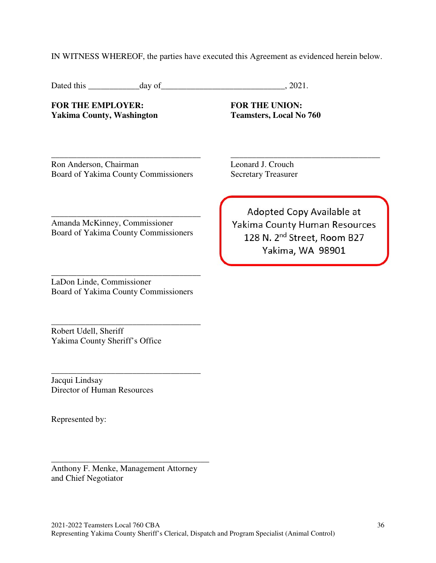IN WITNESS WHEREOF, the parties have executed this Agreement as evidenced herein below.

Dated this \_\_\_\_\_\_\_\_\_\_\_\_day of\_\_\_\_\_\_\_\_\_\_\_\_\_\_\_\_\_\_\_\_\_\_\_\_\_\_\_\_\_, 2021.

FOR THE EMPLOYER: **FOR THE UNION:** Yakima County, Washington Teamsters, Local No 760

Adopted Copy Available at Yakima County Human Resources 128 N. 2<sup>nd</sup> Street, Room B27 Yakima, WA 98901

\_\_\_\_\_\_\_\_\_\_\_\_\_\_\_\_\_\_\_\_\_\_\_\_\_\_\_\_\_\_\_\_\_\_\_ \_\_\_\_\_\_\_\_\_\_\_\_\_\_\_\_\_\_\_\_\_\_\_\_\_\_\_\_\_\_\_\_\_\_\_ Ron Anderson, Chairman Leonard J. Crouch Board of Yakima County Commissioners Secretary Treasurer

\_\_\_\_\_\_\_\_\_\_\_\_\_\_\_\_\_\_\_\_\_\_\_\_\_\_\_\_\_\_\_\_\_\_\_ Amanda McKinney, Commissioner Board of Yakima County Commissioners

\_\_\_\_\_\_\_\_\_\_\_\_\_\_\_\_\_\_\_\_\_\_\_\_\_\_\_\_\_\_\_\_\_\_\_ LaDon Linde, Commissioner

Board of Yakima County Commissioners

\_\_\_\_\_\_\_\_\_\_\_\_\_\_\_\_\_\_\_\_\_\_\_\_\_\_\_\_\_\_\_\_\_\_\_

Robert Udell, Sheriff Yakima County Sheriff's Office

\_\_\_\_\_\_\_\_\_\_\_\_\_\_\_\_\_\_\_\_\_\_\_\_\_\_\_\_\_\_\_\_\_\_\_ Jacqui Lindsay Director of Human Resources

Represented by:

Anthony F. Menke, Management Attorney and Chief Negotiator

\_\_\_\_\_\_\_\_\_\_\_\_\_\_\_\_\_\_\_\_\_\_\_\_\_\_\_\_\_\_\_\_\_\_\_\_\_

2021-2022 Teamsters Local 760 CBA 36 Representing Yakima County Sheriff's Clerical, Dispatch and Program Specialist (Animal Control)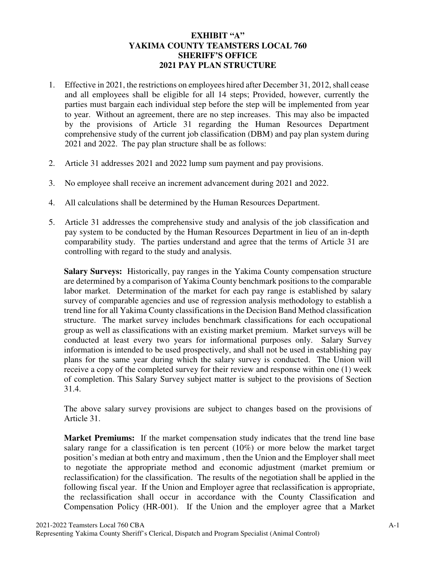### **EXHIBIT "A" YAKIMA COUNTY TEAMSTERS LOCAL 760 SHERIFF'S OFFICE 2021 PAY PLAN STRUCTURE**

- 1. Effective in 2021, the restrictions on employees hired after December 31, 2012, shall cease and all employees shall be eligible for all 14 steps; Provided, however, currently the parties must bargain each individual step before the step will be implemented from year to year. Without an agreement, there are no step increases. This may also be impacted by the provisions of Article 31 regarding the Human Resources Department comprehensive study of the current job classification (DBM) and pay plan system during 2021 and 2022. The pay plan structure shall be as follows:
- 2. Article 31 addresses 2021 and 2022 lump sum payment and pay provisions.
- 3. No employee shall receive an increment advancement during 2021 and 2022.
- 4. All calculations shall be determined by the Human Resources Department.
- 5. Article 31 addresses the comprehensive study and analysis of the job classification and pay system to be conducted by the Human Resources Department in lieu of an in-depth comparability study. The parties understand and agree that the terms of Article 31 are controlling with regard to the study and analysis.

**Salary Surveys:** Historically, pay ranges in the Yakima County compensation structure are determined by a comparison of Yakima County benchmark positions to the comparable labor market. Determination of the market for each pay range is established by salary survey of comparable agencies and use of regression analysis methodology to establish a trend line for all Yakima County classifications in the Decision Band Method classification structure. The market survey includes benchmark classifications for each occupational group as well as classifications with an existing market premium. Market surveys will be conducted at least every two years for informational purposes only. Salary Survey information is intended to be used prospectively, and shall not be used in establishing pay plans for the same year during which the salary survey is conducted. The Union will receive a copy of the completed survey for their review and response within one (1) week of completion. This Salary Survey subject matter is subject to the provisions of Section 31.4.

The above salary survey provisions are subject to changes based on the provisions of Article 31.

**Market Premiums:** If the market compensation study indicates that the trend line base salary range for a classification is ten percent (10%) or more below the market target position's median at both entry and maximum , then the Union and the Employer shall meet to negotiate the appropriate method and economic adjustment (market premium or reclassification) for the classification. The results of the negotiation shall be applied in the following fiscal year. If the Union and Employer agree that reclassification is appropriate, the reclassification shall occur in accordance with the County Classification and Compensation Policy (HR-001). If the Union and the employer agree that a Market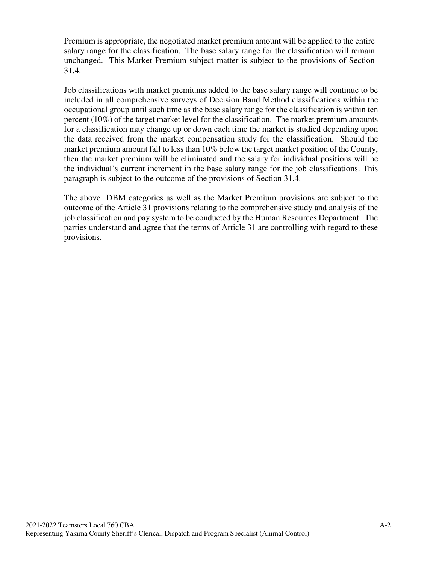Premium is appropriate, the negotiated market premium amount will be applied to the entire salary range for the classification. The base salary range for the classification will remain unchanged. This Market Premium subject matter is subject to the provisions of Section 31.4.

Job classifications with market premiums added to the base salary range will continue to be included in all comprehensive surveys of Decision Band Method classifications within the occupational group until such time as the base salary range for the classification is within ten percent (10%) of the target market level for the classification. The market premium amounts for a classification may change up or down each time the market is studied depending upon the data received from the market compensation study for the classification. Should the market premium amount fall to less than 10% below the target market position of the County, then the market premium will be eliminated and the salary for individual positions will be the individual's current increment in the base salary range for the job classifications. This paragraph is subject to the outcome of the provisions of Section 31.4.

The above DBM categories as well as the Market Premium provisions are subject to the outcome of the Article 31 provisions relating to the comprehensive study and analysis of the job classification and pay system to be conducted by the Human Resources Department. The parties understand and agree that the terms of Article 31 are controlling with regard to these provisions.